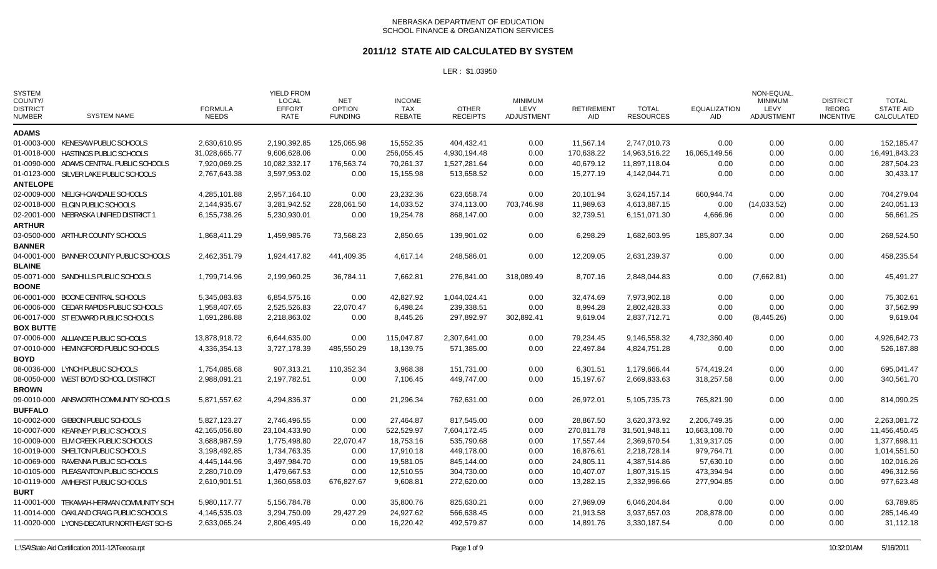#### **2011/12 STATE AID CALCULATED BY SYSTEM**

| <b>SYSTEM NAME</b>                       | <b>FORMULA</b><br><b>NEEDS</b> | <b>YIELD FROM</b><br><b>LOCAL</b><br><b>EFFORT</b><br><b>RATE</b> | <b>NET</b><br><b>OPTION</b><br><b>FUNDING</b> | <b>INCOME</b><br><b>TAX</b><br><b>REBATE</b> | <b>OTHER</b><br><b>RECEIPTS</b> | <b>MINIMUM</b><br><b>LEVY</b><br>ADJUSTMENT | <b>RETIREMENT</b><br>AID | <b>TOTAL</b><br><b>RESOURCES</b> | <b>EQUALIZATION</b><br>AID | NON-EQUAL<br><b>MINIMUM</b><br>LEVY<br><b>ADJUSTMENT</b> | <b>DISTRICT</b><br>REORG<br><b>INCENTIVE</b> | <b>TOTAL</b><br><b>STATE AID</b><br>CALCULATED |
|------------------------------------------|--------------------------------|-------------------------------------------------------------------|-----------------------------------------------|----------------------------------------------|---------------------------------|---------------------------------------------|--------------------------|----------------------------------|----------------------------|----------------------------------------------------------|----------------------------------------------|------------------------------------------------|
|                                          |                                |                                                                   |                                               |                                              |                                 |                                             |                          |                                  |                            |                                                          |                                              |                                                |
| 01-0003-000 KENESAW PUBLIC SCHOOLS       | 2,630,610.95                   | 2,190,392.85                                                      | 125,065.98                                    | 15,552.35                                    | 404,432.41                      | 0.00                                        | 11,567.14                | 2,747,010.73                     | 0.00                       | 0.00                                                     | 0.00                                         | 152,185.47                                     |
| 01-0018-000 HASTINGS PUBLIC SCHOOLS      | 31,028,665.77                  | 9,606,628.06                                                      | 0.00                                          | 256,055.45                                   | 4,930,194.48                    | 0.00                                        | 170,638.22               | 14,963,516.22                    | 16,065,149.56              | 0.00                                                     | 0.00                                         | 16,491,843.23                                  |
| 01-0090-000 ADAMS CENTRAL PUBLIC SCHOOLS | 7,920,069.25                   | 10,082,332.17                                                     |                                               | 70,261.37                                    | 1,527,281.64                    | 0.00                                        | 40,679.12                | 11,897,118.04                    | 0.00                       | 0.00                                                     | 0.00                                         | 287,504.23                                     |
| 01-0123-000 SILVER LAKE PUBLIC SCHOOLS   | 2,767,643.38                   | 3,597,953.02                                                      | 0.00                                          | 15,155.98                                    | 513,658.52                      | 0.00                                        | 15,277.19                | 4,142,044.71                     | 0.00                       | 0.00                                                     | 0.00                                         | 30,433.17                                      |
|                                          |                                |                                                                   |                                               |                                              |                                 |                                             |                          |                                  |                            |                                                          |                                              |                                                |
| 02-0009-000 NELIGH-OAKDALE SCHOOLS       | 4,285,101.88                   | 2,957,164.10                                                      | 0.00                                          | 23,232.36                                    | 623,658.74                      | 0.00                                        | 20,101.94                | 3,624,157.14                     | 660,944.74                 | 0.00                                                     | 0.00                                         | 704,279.04                                     |
| 02-0018-000 ELGIN PUBLIC SCHOOLS         |                                |                                                                   | 228,061.50                                    | 14,033.52                                    | 374,113.00                      | 703,746.98                                  |                          | 4,613,887.15                     | 0.00                       | (14,033.52)                                              | 0.00                                         | 240,051.13                                     |
| 02-2001-000 NEBRASKA UNIFIED DISTRICT 1  | 6,155,738.26                   | 5,230,930.01                                                      | 0.00                                          | 19,254.78                                    | 868,147.00                      | 0.00                                        | 32,739.51                | 6,151,071.30                     | 4,666.96                   | 0.00                                                     | 0.00                                         | 56,661.25                                      |
|                                          |                                |                                                                   |                                               |                                              |                                 |                                             |                          |                                  |                            |                                                          |                                              |                                                |
| 03-0500-000 ARTHUR COUNTY SCHOOLS        | 1,868,411.29                   | 1,459,985.76                                                      | 73,568.23                                     | 2,850.65                                     | 139.901.02                      | 0.00                                        | 6,298.29                 | 1.682.603.95                     | 185,807.34                 | 0.00                                                     | 0.00                                         | 268,524.50                                     |
|                                          |                                |                                                                   |                                               |                                              |                                 |                                             |                          |                                  |                            |                                                          |                                              |                                                |
| 04-0001-000 BANNER COUNTY PUBLIC SCHOOLS | 2,462,351.79                   | 1,924,417.82                                                      | 441,409.35                                    | 4,617.14                                     | 248,586.01                      | 0.00                                        | 12,209.05                | 2,631,239.37                     | 0.00                       | 0.00                                                     | 0.00                                         | 458,235.54                                     |
|                                          |                                |                                                                   |                                               |                                              |                                 |                                             |                          |                                  |                            |                                                          |                                              |                                                |
| 05-0071-000 SANDHILLS PUBLIC SCHOOLS     | 1,799,714.96                   | 2,199,960.25                                                      | 36,784.11                                     | 7,662.81                                     | 276,841.00                      | 318,089.49                                  | 8,707.16                 | 2,848,044.83                     | 0.00                       | (7,662.81)                                               | 0.00                                         | 45,491.27                                      |
|                                          |                                |                                                                   |                                               |                                              |                                 |                                             |                          |                                  |                            |                                                          |                                              |                                                |
| 06-0001-000 BOONE CENTRAL SCHOOLS        | 5,345,083.83                   | 6,854,575.16                                                      | 0.00                                          | 42,827.92                                    | 1,044,024.41                    | 0.00                                        | 32,474.69                | 7,973,902.18                     | 0.00                       | 0.00                                                     | 0.00                                         | 75,302.61                                      |
| 06-0006-000 CEDAR RAPIDS PUBLIC SCHOOLS  | 1,958,407.65                   | 2,525,526.83                                                      | 22,070.47                                     | 6,498.24                                     | 239,338.51                      | 0.00                                        | 8,994.28                 | 2,802,428.33                     | 0.00                       | 0.00                                                     | 0.00                                         | 37,562.99                                      |
| 06-0017-000 ST EDWARD PUBLIC SCHOOLS     | 1,691,286.88                   | 2,218,863.02                                                      | 0.00                                          | 8,445.26                                     | 297,892.97                      | 302,892.41                                  | 9,619.04                 | 2,837,712.71                     | 0.00                       | (8,445.26)                                               | 0.00                                         | 9,619.04                                       |
| <b>BOX BUTTE</b>                         |                                |                                                                   |                                               |                                              |                                 |                                             |                          |                                  |                            |                                                          |                                              |                                                |
| 07-0006-000 ALLIANCE PUBLIC SCHOOLS      | 13,878,918.72                  | 6,644,635.00                                                      | 0.00                                          | 115,047.87                                   | 2,307,641.00                    | 0.00                                        | 79,234.45                | 9,146,558.32                     | 4,732,360.40               | 0.00                                                     | 0.00                                         | 4,926,642.73                                   |
| 07-0010-000 HEMINGFORD PUBLIC SCHOOLS    | 4,336,354.13                   | 3,727,178.39                                                      | 485,550.29                                    | 18,139.75                                    | 571,385.00                      | 0.00                                        | 22,497.84                | 4,824,751.28                     | 0.00                       | 0.00                                                     | 0.00                                         | 526,187.88                                     |
|                                          |                                |                                                                   |                                               |                                              |                                 |                                             |                          |                                  |                            |                                                          |                                              |                                                |
| 08-0036-000 LYNCH PUBLIC SCHOOLS         | 1,754,085.68                   | 907,313.21                                                        | 110,352.34                                    | 3,968.38                                     | 151,731.00                      | 0.00                                        | 6,301.51                 | 1,179,666.44                     | 574,419.24                 | 0.00                                                     | 0.00                                         | 695,041.47                                     |
| 08-0050-000 WEST BOYD SCHOOL DISTRICT    | 2.988.091.21                   | 2,197,782.51                                                      | 0.00                                          | 7,106.45                                     | 449.747.00                      | 0.00                                        | 15,197.67                | 2,669,833.63                     | 318,257.58                 | 0.00                                                     | 0.00                                         | 340,561.70                                     |
|                                          |                                |                                                                   |                                               |                                              |                                 |                                             |                          |                                  |                            |                                                          |                                              |                                                |
| 09-0010-000 AINSWORTH COMMUNITY SCHOOLS  | 5,871,557.62                   | 4,294,836.37                                                      | 0.00                                          | 21,296.34                                    | 762.631.00                      | 0.00                                        | 26,972.01                | 5,105,735.73                     | 765,821.90                 | 0.00                                                     | 0.00                                         | 814,090.25                                     |
|                                          |                                |                                                                   |                                               |                                              |                                 |                                             |                          |                                  |                            |                                                          |                                              |                                                |
| 10-0002-000 GIBBON PUBLIC SCHOOLS        | 5,827,123.27                   | 2,746,496.55                                                      | 0.00                                          | 27,464.87                                    | 817.545.00                      | 0.00                                        | 28,867.50                | 3.620.373.92                     | 2.206.749.35               | 0.00                                                     | 0.00                                         | 2,263,081.72                                   |
| 10-0007-000 KEARNEY PUBLIC SCHOOLS       | 42,165,056.80                  | 23,104,433.90                                                     | 0.00                                          | 522,529.97                                   | 7,604,172.45                    | 0.00                                        | 270,811.78               | 31,501,948.11                    | 10,663,108.70              | 0.00                                                     | 0.00                                         | 11,456,450.45                                  |
| 10-0009-000 ELM CREEK PUBLIC SCHOOLS     | 3,688,987.59                   | 1,775,498.80                                                      | 22,070.47                                     | 18,753.16                                    | 535,790.68                      | 0.00                                        | 17,557.44                | 2,369,670.54                     | 1,319,317.05               | 0.00                                                     | 0.00                                         | 1,377,698.11                                   |
| 10-0019-000 SHELTON PUBLIC SCHOOLS       | 3,198,492.85                   | 1,734,763.35                                                      | 0.00                                          | 17,910.18                                    | 449,178.00                      | 0.00                                        | 16,876.61                | 2,218,728.14                     | 979,764.71                 | 0.00                                                     | 0.00                                         | 1,014,551.50                                   |
| 10-0069-000 RAVENNA PUBLIC SCHOOLS       | 4,445,144.96                   | 3,497,984.70                                                      | 0.00                                          | 19,581.05                                    | 845,144.00                      | 0.00                                        | 24,805.11                | 4,387,514.86                     | 57,630.10                  | 0.00                                                     | 0.00                                         | 102,016.26                                     |
| 10-0105-000 PLEASANTON PUBLIC SCHOOLS    | 2,280,710.09                   | 1,479,667.53                                                      | 0.00                                          | 12,510.55                                    | 304,730.00                      | 0.00                                        | 10,407.07                | 1,807,315.15                     | 473,394.94                 | 0.00                                                     | 0.00                                         | 496,312.56                                     |
| 10-0119-000 AMHERST PUBLIC SCHOOLS       | 2,610,901.51                   | 1,360,658.03                                                      | 676,827.67                                    | 9,608.81                                     | 272,620.00                      | 0.00                                        | 13,282.15                | 2,332,996.66                     | 277,904.85                 | 0.00                                                     | 0.00                                         | 977,623.48                                     |
|                                          |                                |                                                                   |                                               |                                              |                                 |                                             |                          |                                  |                            |                                                          |                                              |                                                |
| 11-0001-000 TEKAMAH-HERMAN COMMUNITY SCH | 5,980,117.77                   | 5,156,784.78                                                      | 0.00                                          | 35,800.76                                    | 825,630.21                      | 0.00                                        | 27,989.09                | 6,046,204.84                     | 0.00                       | 0.00                                                     | 0.00                                         | 63,789.85                                      |
| 11-0014-000 OAKLAND CRAIG PUBLIC SCHOOLS | 4,146,535.03                   | 3,294,750.09                                                      | 29,427.29                                     | 24,927.62                                    | 566,638.45                      | 0.00                                        | 21,913.58                | 3,937,657.03                     | 208,878.00                 | 0.00                                                     | 0.00                                         | 285,146.49                                     |
| 11-0020-000 LYONS-DECATUR NORTHEAST SCHS | 2,633,065.24                   | 2,806,495.49                                                      | 0.00                                          | 16,220.42                                    | 492,579.87                      | 0.00                                        | 14,891.76                | 3,330,187.54                     | 0.00                       | 0.00                                                     | 0.00                                         | 31,112.18                                      |
|                                          |                                | 2,144,935.67                                                      | 3,281,942.52                                  | 176,563.74                                   |                                 |                                             |                          | 11,989.63                        |                            |                                                          |                                              |                                                |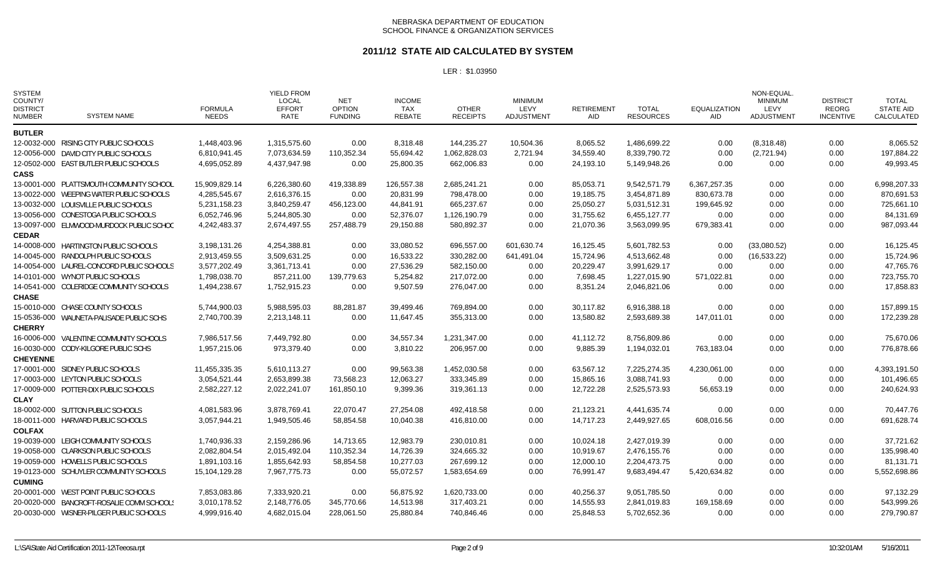#### **2011/12 STATE AID CALCULATED BY SYSTEM**

| <b>SYSTEM</b><br>COUNTY/<br><b>DISTRICT</b><br><b>NUMBER</b> | <b>SYSTEM NAME</b>                        | <b>FORMULA</b><br><b>NEEDS</b> | <b>YIELD FROM</b><br><b>LOCAL</b><br><b>EFFORT</b><br>RATE | NET<br><b>OPTION</b><br><b>FUNDING</b> | <b>INCOME</b><br><b>TAX</b><br>REBATE | <b>OTHER</b><br><b>RECEIPTS</b> | <b>MINIMUM</b><br>LEVY<br><b>ADJUSTMENT</b> | RETIREMENT<br>AID | <b>TOTAL</b><br><b>RESOURCES</b> | <b>EQUALIZATION</b><br>AID | NON-EQUAL<br><b>MINIMUM</b><br>LEVY<br><b>ADJUSTMENT</b> | <b>DISTRICT</b><br><b>REORG</b><br><b>INCENTIVE</b> | TOTAL<br><b>STATE AID</b><br>CALCULATED |
|--------------------------------------------------------------|-------------------------------------------|--------------------------------|------------------------------------------------------------|----------------------------------------|---------------------------------------|---------------------------------|---------------------------------------------|-------------------|----------------------------------|----------------------------|----------------------------------------------------------|-----------------------------------------------------|-----------------------------------------|
| <b>BUTLER</b>                                                |                                           |                                |                                                            |                                        |                                       |                                 |                                             |                   |                                  |                            |                                                          |                                                     |                                         |
|                                                              | 12-0032-000 RISING CITY PUBLIC SCHOOLS    | 1,448,403.96                   | 1,315,575.60                                               | 0.00                                   | 8,318.48                              | 144,235.27                      | 10,504.36                                   | 8,065.52          | 1,486,699.22                     | 0.00                       | (8,318.48)                                               | 0.00                                                | 8,065.52                                |
|                                                              | 12-0056-000 DAVID CITY PUBLIC SCHOOLS     | 6,810,941.45                   | 7,073,634.59                                               | 110,352.34                             | 55,694.42                             | 1,062,828.03                    | 2,721.94                                    | 34,559.40         | 8,339,790.72                     | 0.00                       | (2,721.94)                                               | 0.00                                                | 197,884.22                              |
|                                                              | 12-0502-000 EAST BUTLER PUBLIC SCHOOLS    | 4,695,052.89                   | 4,437,947.98                                               | 0.00                                   | 25,800.35                             | 662,006.83                      | 0.00                                        | 24,193.10         | 5,149,948.26                     | 0.00                       | 0.00                                                     | 0.00                                                | 49,993.45                               |
| <b>CASS</b>                                                  |                                           |                                |                                                            |                                        |                                       |                                 |                                             |                   |                                  |                            |                                                          |                                                     |                                         |
|                                                              | 13-0001-000 PLATTSMOUTH COMMUNITY SCHOOL  | 15,909,829.14                  | 6,226,380.60                                               | 419,338.89                             | 126,557.38                            | 2,685,241.21                    | 0.00                                        | 85,053.71         | 9,542,571.79                     | 6,367,257.35               | 0.00                                                     | 0.00                                                | 6,998,207.33                            |
|                                                              | 13-0022-000 WEEPING WATER PUBLIC SCHOOLS  | 4,285,545.67                   | 2,616,376.15                                               | 0.00                                   | 20,831.99                             | 798,478.00                      | 0.00                                        | 19,185.75         | 3,454,871.89                     | 830,673.78                 | 0.00                                                     | 0.00                                                | 870,691.53                              |
|                                                              | 13-0032-000 LOUISVILLE PUBLIC SCHOOLS     | 5,231,158.23                   | 3,840,259.47                                               | 456,123.00                             | 44,841.91                             | 665,237.67                      | 0.00                                        | 25,050.27         | 5,031,512.31                     | 199,645.92                 | 0.00                                                     | 0.00                                                | 725,661.10                              |
|                                                              | 13-0056-000 CONESTOGA PUBLIC SCHOOLS      | 6,052,746.96                   | 5,244,805.30                                               | 0.00                                   | 52,376.07                             | 1,126,190.79                    | 0.00                                        | 31,755.62         | 6,455,127.77                     | 0.00                       | 0.00                                                     | 0.00                                                | 84,131.69                               |
|                                                              | 13-0097-000 ELMWOOD-MURDOCK PUBLIC SCHOC  | 4,242,483.37                   | 2,674,497.55                                               | 257,488.79                             | 29,150.88                             | 580,892.37                      | 0.00                                        | 21,070.36         | 3,563,099.95                     | 679,383.41                 | 0.00                                                     | 0.00                                                | 987,093.44                              |
| <b>CEDAR</b>                                                 |                                           |                                |                                                            |                                        |                                       |                                 |                                             |                   |                                  |                            |                                                          |                                                     |                                         |
|                                                              | 14-0008-000 HARTINGTON PUBLIC SCHOOLS     | 3,198,131.26                   | 4,254,388.81                                               | 0.00                                   | 33,080.52                             | 696,557.00                      | 601,630.74                                  | 16,125.45         | 5,601,782.53                     | 0.00                       | (33,080.52)                                              | 0.00                                                | 16,125.45                               |
|                                                              | 14-0045-000 RANDOLPH PUBLIC SCHOOLS       | 2,913,459.55                   | 3,509,631.25                                               | 0.00                                   | 16,533.22                             | 330,282.00                      | 641,491.04                                  | 15,724.96         | 4,513,662.48                     | 0.00                       | (16, 533.22)                                             | 0.00                                                | 15,724.96                               |
|                                                              | 14-0054-000 LAUREL-CONCORD PUBLIC SCHOOLS | 3,577,202.49                   | 3.361.713.41                                               | 0.00                                   | 27,536.29                             | 582,150.00                      | 0.00                                        | 20,229.47         | 3,991,629.17                     | 0.00                       | 0.00                                                     | 0.00                                                | 47.765.76                               |
|                                                              | 14-0101-000 WYNOT PUBLIC SCHOOLS          | 1,798,038.70                   | 857,211.00                                                 | 139,779.63                             | 5,254.82                              | 217,072.00                      | 0.00                                        | 7,698.45          | 1,227,015.90                     | 571,022.81                 | 0.00                                                     | 0.00                                                | 723,755.70                              |
|                                                              | 14-0541-000 COLERIDGE COMMUNITY SCHOOLS   | 1,494,238.67                   | 1,752,915.23                                               | 0.00                                   | 9,507.59                              | 276,047.00                      | 0.00                                        | 8,351.24          | 2,046,821.06                     | 0.00                       | 0.00                                                     | 0.00                                                | 17,858.83                               |
| <b>CHASE</b>                                                 |                                           |                                |                                                            |                                        |                                       |                                 |                                             |                   |                                  |                            |                                                          |                                                     |                                         |
|                                                              | 15-0010-000 CHASE COUNTY SCHOOLS          | 5,744,900.03                   | 5,988,595.03                                               | 88,281.87                              | 39,499.46                             | 769,894.00                      | 0.00                                        | 30,117.82         | 6,916,388.18                     | 0.00                       | 0.00                                                     | 0.00                                                | 157,899.15                              |
|                                                              | 15-0536-000 WAUNETA-PALISADE PUBLIC SCHS  | 2,740,700.39                   | 2,213,148.11                                               | 0.00                                   | 11,647.45                             | 355,313.00                      | 0.00                                        | 13,580.82         | 2,593,689.38                     | 147,011.01                 | 0.00                                                     | 0.00                                                | 172,239.28                              |
| <b>CHERRY</b>                                                |                                           |                                |                                                            |                                        |                                       |                                 |                                             |                   |                                  |                            |                                                          |                                                     |                                         |
|                                                              | 16-0006-000 VALENTINE COMMUNITY SCHOOLS   | 7,986,517.56                   | 7,449,792.80                                               | 0.00                                   | 34,557.34                             | 1,231,347.00                    | 0.00                                        | 41,112.72         | 8,756,809.86                     | 0.00                       | 0.00                                                     | 0.00                                                | 75,670.06                               |
|                                                              | 16-0030-000 CODY-KILGORE PUBLIC SCHS      | 1,957,215.06                   | 973,379.40                                                 | 0.00                                   | 3,810.22                              | 206,957.00                      | 0.00                                        | 9,885.39          | 1,194,032.01                     | 763,183.04                 | 0.00                                                     | 0.00                                                | 776,878.66                              |
| <b>CHEYENNE</b>                                              |                                           |                                |                                                            |                                        |                                       |                                 |                                             |                   |                                  |                            |                                                          |                                                     |                                         |
|                                                              | 17-0001-000 SIDNEY PUBLIC SCHOOLS         | 11,455,335.35                  | 5,610,113.27                                               | 0.00                                   | 99,563.38                             | 1,452,030.58                    | 0.00                                        | 63,567.12         | 7,225,274.35                     | 4,230,061.00               | 0.00                                                     | 0.00                                                | 4,393,191.50                            |
|                                                              | 17-0003-000 LEYTON PUBLIC SCHOOLS         | 3,054,521.44                   | 2,653,899.38                                               | 73,568.23                              | 12.063.27                             | 333.345.89                      | 0.00                                        | 15,865.16         | 3.088.741.93                     | 0.00                       | 0.00                                                     | 0.00                                                | 101,496.65                              |
|                                                              | 17-0009-000 POTTER-DIX PUBLIC SCHOOLS     | 2,582,227.12                   | 2,022,241.07                                               | 161,850.10                             | 9,399.36                              | 319,361.13                      | 0.00                                        | 12,722.28         | 2,525,573.93                     | 56,653.19                  | 0.00                                                     | 0.00                                                | 240,624.93                              |
| <b>CLAY</b>                                                  |                                           |                                |                                                            |                                        |                                       |                                 |                                             |                   |                                  |                            |                                                          |                                                     |                                         |
|                                                              | 18-0002-000 SUTTON PUBLIC SCHOOLS         | 4,081,583.96                   | 3,878,769.41                                               | 22,070.47                              | 27,254.08                             | 492,418.58                      | 0.00                                        | 21,123.21         | 4,441,635.74                     | 0.00                       | 0.00                                                     | 0.00                                                | 70,447.76                               |
|                                                              | 18-0011-000 HARVARD PUBLIC SCHOOLS        | 3.057.944.21                   | 1,949,505.46                                               | 58,854.58                              | 10,040.38                             | 416,810.00                      | 0.00                                        | 14.717.23         | 2,449,927.65                     | 608,016.56                 | 0.00                                                     | 0.00                                                | 691,628.74                              |
| <b>COLFAX</b>                                                |                                           |                                |                                                            |                                        |                                       |                                 |                                             |                   |                                  |                            |                                                          |                                                     |                                         |
|                                                              | 19-0039-000 LEIGH COMMUNITY SCHOOLS       | 1,740,936.33                   | 2,159,286.96                                               | 14,713.65                              | 12,983.79                             | 230,010.81                      | 0.00                                        | 10,024.18         | 2,427,019.39                     | 0.00                       | 0.00                                                     | 0.00                                                | 37,721.62                               |
|                                                              | 19-0058-000 CLARKSON PUBLIC SCHOOLS       | 2,082,804.54                   | 2,015,492.04                                               | 110,352.34                             | 14,726.39                             | 324,665.32                      | 0.00                                        | 10,919.67         | 2,476,155.76                     | 0.00                       | 0.00                                                     | 0.00                                                | 135,998.40                              |
|                                                              | 19-0059-000 HOWELLS PUBLIC SCHOOLS        | 1,891,103.16                   | 1,855,642.93                                               | 58,854.58                              | 10,277.03                             | 267,699.12                      | 0.00                                        | 12,000.10         | 2,204,473.75                     | 0.00                       | 0.00                                                     | 0.00                                                | 81,131.71                               |
|                                                              | 19-0123-000 SCHUYLER COMMUNITY SCHOOLS    | 15,104,129.28                  | 7,967,775.73                                               | 0.00                                   | 55,072.57                             | 1,583,654.69                    | 0.00                                        | 76,991.47         | 9,683,494.47                     | 5,420,634.82               | 0.00                                                     | 0.00                                                | 5,552,698.86                            |
| <b>CUMING</b>                                                |                                           |                                |                                                            |                                        |                                       |                                 |                                             |                   |                                  |                            |                                                          |                                                     |                                         |
|                                                              | 20-0001-000 WEST POINT PUBLIC SCHOOLS     | 7,853,083.86                   | 7,333,920.21                                               | 0.00                                   | 56,875.92                             | 1,620,733.00                    | 0.00                                        | 40,256.37         | 9,051,785.50                     | 0.00                       | 0.00                                                     | 0.00                                                | 97,132.29                               |
|                                                              | 20-0020-000 BANCROFT-ROSALIE COMM SCHOOLS | 3,010,178.52                   | 2,148,776.05                                               | 345,770.66                             | 14,513.98                             | 317,403.21                      | 0.00                                        | 14,555.93         | 2,841,019.83                     | 169,158.69                 | 0.00                                                     | 0.00                                                | 543,999.26                              |
|                                                              | 20-0030-000 WISNER-PILGER PUBLIC SCHOOLS  | 4,999,916.40                   | 4,682,015.04                                               | 228,061.50                             | 25,880.84                             | 740,846.46                      | 0.00                                        | 25,848.53         | 5,702,652.36                     | 0.00                       | 0.00                                                     | 0.00                                                | 279,790.87                              |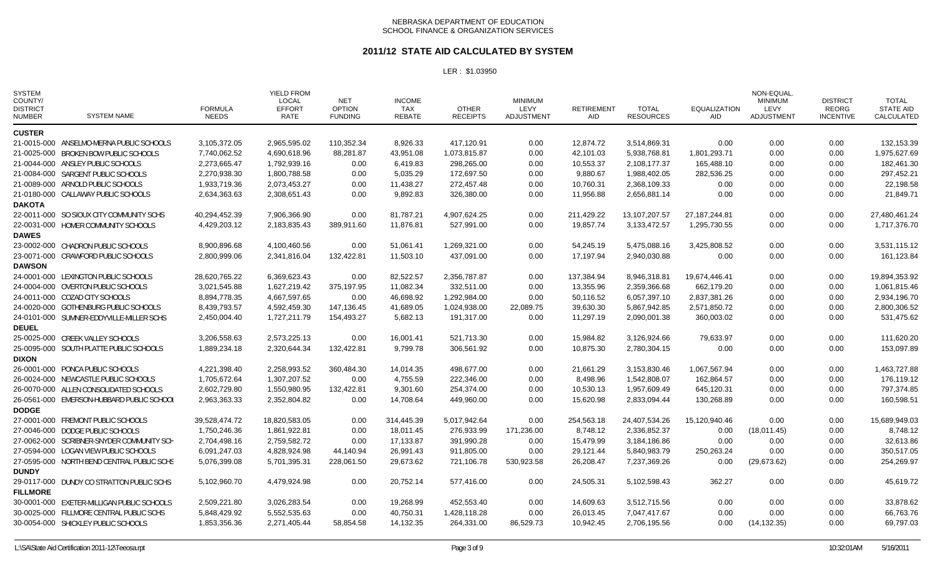#### **2011/12 STATE AID CALCULATED BY SYSTEM**

| <b>SYSTEM</b><br>COUNTY/<br><b>DISTRICT</b><br><b>NUMBER</b> | <b>SYSTEM NAME</b>                         | <b>FORMULA</b><br><b>NEEDS</b> | <b>YIELD FROM</b><br><b>LOCAL</b><br><b>EFFORT</b><br>RATE | NET<br><b>OPTION</b><br><b>FUNDING</b> | <b>INCOME</b><br><b>TAX</b><br><b>REBATE</b> | <b>OTHER</b><br><b>RECEIPTS</b> | <b>MINIMUM</b><br>LEVY<br><b>ADJUSTMENT</b> | <b>RETIREMENT</b><br>AID | <b>TOTAL</b><br><b>RESOURCES</b> | <b>EQUALIZATION</b><br>AID | NON-EQUAL<br><b>MINIMUM</b><br>LEVY<br><b>ADJUSTMENT</b> | <b>DISTRICT</b><br><b>REORG</b><br><b>INCENTIVE</b> | <b>TOTAL</b><br><b>STATE AID</b><br>CALCULATED |
|--------------------------------------------------------------|--------------------------------------------|--------------------------------|------------------------------------------------------------|----------------------------------------|----------------------------------------------|---------------------------------|---------------------------------------------|--------------------------|----------------------------------|----------------------------|----------------------------------------------------------|-----------------------------------------------------|------------------------------------------------|
| <b>CUSTER</b>                                                |                                            |                                |                                                            |                                        |                                              |                                 |                                             |                          |                                  |                            |                                                          |                                                     |                                                |
|                                                              | 21-0015-000 ANSELMO-MERNA PUBLIC SCHOOLS   | 3,105,372.05                   | 2,965,595.02                                               | 110,352.34                             | 8,926.33                                     | 417,120.91                      | 0.00                                        | 12,874.72                | 3,514,869.31                     | 0.00                       | 0.00                                                     | 0.00                                                | 132,153.39                                     |
|                                                              | 21-0025-000 BROKEN BOW PUBLIC SCHOOLS      | 7,740,062.52                   | 4,690,618.96                                               | 88,281.87                              | 43,951.08                                    | 1,073,815.87                    | 0.00                                        | 42,101.03                | 5,938,768.81                     | 1,801,293.71               | 0.00                                                     | 0.00                                                | 1,975,627.69                                   |
|                                                              | 21-0044-000 ANSLEY PUBLIC SCHOOLS          | 2,273,665.47                   | 1,792,939.16                                               | 0.00                                   | 6,419.83                                     | 298,265.00                      | 0.00                                        | 10,553.37                | 2,108,177.37                     | 165,488.10                 | 0.00                                                     | 0.00                                                | 182,461.30                                     |
|                                                              | 21-0084-000 SARGENT PUBLIC SCHOOLS         | 2,270,938.30                   | 1,800,788.58                                               | 0.00                                   | 5,035.29                                     | 172,697.50                      | 0.00                                        | 9,880.67                 | 1,988,402.05                     | 282,536.25                 | 0.00                                                     | 0.00                                                | 297,452.21                                     |
|                                                              | 21-0089-000 ARNOLD PUBLIC SCHOOLS          | 1,933,719.36                   | 2,073,453.27                                               | 0.00                                   | 11,438.27                                    | 272,457.48                      | 0.00                                        | 10,760.31                | 2,368,109.33                     | 0.00                       | 0.00                                                     | 0.00                                                | 22,198.58                                      |
|                                                              | 21-0180-000 CALLAWAY PUBLIC SCHOOLS        | 2,634,363.63                   | 2,308,651.43                                               | 0.00                                   | 9,892.83                                     | 326,380.00                      | 0.00                                        | 11,956.88                | 2,656,881.14                     | 0.00                       | 0.00                                                     | 0.00                                                | 21,849.71                                      |
| <b>DAKOTA</b>                                                |                                            |                                |                                                            |                                        |                                              |                                 |                                             |                          |                                  |                            |                                                          |                                                     |                                                |
|                                                              | 22-0011-000 SO SIOUX CITY COMMUNITY SCHS   | 40,294,452.39                  | 7,906,366.90                                               | 0.00                                   | 81,787.21                                    | 4,907,624.25                    | 0.00                                        | 211,429.22               | 13, 107, 207. 57                 | 27, 187, 244.81            | 0.00                                                     | 0.00                                                | 27,480,461.24                                  |
| <b>DAWES</b>                                                 | 22-0031-000 HOMER COMMUNITY SCHOOLS        | 4,429,203.12                   | 2,183,835.43                                               | 389,911.60                             | 11,876.81                                    | 527,991.00                      | 0.00                                        | 19,857.74                | 3,133,472.57                     | 1,295,730.55               | 0.00                                                     | 0.00                                                | 1,717,376.70                                   |
|                                                              | 23-0002-000 CHADRON PUBLIC SCHOOLS         | 8,900,896.68                   | 4,100,460.56                                               | 0.00                                   | 51,061.41                                    | 1,269,321.00                    | 0.00                                        | 54,245.19                | 5,475,088.16                     | 3,425,808.52               | 0.00                                                     | 0.00                                                | 3,531,115.12                                   |
|                                                              | 23-0071-000 CRAWFORD PUBLIC SCHOOLS        | 2,800,999.06                   | 2,341,816.04                                               | 132,422.81                             | 11,503.10                                    | 437,091.00                      | 0.00                                        | 17,197.94                | 2,940,030.88                     | 0.00                       | 0.00                                                     | 0.00                                                | 161,123.84                                     |
| <b>DAWSON</b>                                                |                                            |                                |                                                            |                                        |                                              |                                 |                                             |                          |                                  |                            |                                                          |                                                     |                                                |
|                                                              | 24-0001-000 LEXINGTON PUBLIC SCHOOLS       | 28,620,765.22                  | 6,369,623.43                                               | 0.00                                   | 82,522.57                                    | 2,356,787.87                    | 0.00                                        | 137,384.94               | 8,946,318.81                     | 19,674,446.41              | 0.00                                                     | 0.00                                                | 19,894,353.92                                  |
|                                                              | 24-0004-000 OVERTON PUBLIC SCHOOLS         | 3,021,545.88                   | 1,627,219.42                                               | 375,197.95                             | 11,082.34                                    | 332,511.00                      | 0.00                                        | 13,355.96                | 2,359,366.68                     | 662,179.20                 | 0.00                                                     | 0.00                                                | 1,061,815.46                                   |
|                                                              | 24-0011-000 COZAD CITY SCHOOLS             | 8,894,778.35                   | 4,667,597.65                                               | 0.00                                   | 46,698.92                                    | 1,292,984.00                    | 0.00                                        | 50,116.52                | 6,057,397.10                     | 2,837,381.26               | 0.00                                                     | 0.00                                                | 2,934,196.70                                   |
|                                                              | 24-0020-000 GOTHENBURG PUBLIC SCHOOLS      | 8,439,793.57                   | 4,592,459.30                                               | 147,136.45                             | 41,689.05                                    | 1,024,938.00                    | 22,089.75                                   | 39,630.30                | 5,867,942.85                     | 2,571,850.72               | 0.00                                                     | 0.00                                                | 2,800,306.52                                   |
|                                                              | 24-0101-000 SUMNER-EDDYVILLE-MILLER SCHS   | 2,450,004.40                   | 1,727,211.79                                               | 154,493.27                             | 5,682.13                                     | 191,317.00                      | 0.00                                        | 11,297.19                | 2,090,001.38                     | 360,003.02                 | 0.00                                                     | 0.00                                                | 531,475.62                                     |
| <b>DEUEL</b>                                                 |                                            |                                |                                                            |                                        |                                              |                                 |                                             |                          |                                  |                            |                                                          |                                                     |                                                |
|                                                              | 25-0025-000 CREEK VALLEY SCHOOLS           | 3,206,558.63                   | 2,573,225.13                                               | 0.00                                   | 16,001.41                                    | 521,713.30                      | 0.00                                        | 15,984.82                | 3,126,924.66                     | 79,633.97                  | 0.00                                                     | 0.00                                                | 111,620.20                                     |
|                                                              | 25-0095-000 SOUTH PLATTE PUBLIC SCHOOLS    | 1,889,234.18                   | 2,320,644.34                                               | 132,422.81                             | 9,799.78                                     | 306,561.92                      | 0.00                                        | 10,875.30                | 2,780,304.15                     | 0.00                       | 0.00                                                     | 0.00                                                | 153,097.89                                     |
| <b>DIXON</b>                                                 |                                            |                                |                                                            |                                        |                                              |                                 |                                             |                          |                                  |                            |                                                          |                                                     |                                                |
|                                                              | 26-0001-000 PONCA PUBLIC SCHOOLS           | 4,221,398.40                   | 2,258,993.52                                               | 360,484.30                             | 14,014.35                                    | 498,677.00                      | 0.00                                        | 21,661.29                | 3,153,830.46                     | 1,067,567.94               | 0.00                                                     | 0.00                                                | 1,463,727.88                                   |
|                                                              | 26-0024-000 NEWCASTLE PUBLIC SCHOOLS       | 1,705,672.64                   | 1,307,207.52                                               | 0.00                                   | 4,755.59                                     | 222,346.00                      | 0.00                                        | 8,498.96                 | 1,542,808.07                     | 162,864.57                 | 0.00                                                     | 0.00                                                | 176,119.12                                     |
|                                                              | 26-0070-000 ALLEN CONSOLIDATED SCHOOLS     | 2,602,729.80                   | 1,550,980.95                                               | 132,422.81                             | 9,301.60                                     | 254,374.00                      | 0.00                                        | 10,530.13                | 1,957,609.49                     | 645,120.31                 | 0.00                                                     | 0.00                                                | 797,374.85                                     |
|                                                              | 26-0561-000 EMERSON-HUBBARD PUBLIC SCHOOL  | 2,963,363.33                   | 2,352,804.82                                               | 0.00                                   | 14,708.64                                    | 449,960.00                      | 0.00                                        | 15,620.98                | 2,833,094.44                     | 130,268.89                 | 0.00                                                     | 0.00                                                | 160,598.51                                     |
| <b>DODGE</b>                                                 |                                            |                                |                                                            |                                        |                                              |                                 |                                             |                          |                                  |                            |                                                          |                                                     |                                                |
|                                                              | 27-0001-000 FREMONT PUBLIC SCHOOLS         | 39,528,474.72                  | 18,820,583.05                                              | 0.00                                   | 314,445.39                                   | 5,017,942.64                    | 0.00                                        | 254,563.18               | 24,407,534.26                    | 15,120,940.46              | 0.00                                                     | 0.00                                                | 15,689,949.03                                  |
|                                                              | 27-0046-000 DODGE PUBLIC SCHOOLS           | 1,750,246.36                   | 1,861,922.81                                               | 0.00                                   | 18,011.45                                    | 276,933.99                      | 171,236.00                                  | 8,748.12                 | 2,336,852.37                     | 0.00                       | (18,011.45)                                              | 0.00                                                | 8,748.12                                       |
|                                                              | 27-0062-000 SCRIBNER-SNYDER COMMUNITY SCH  | 2,704,498.16                   | 2,759,582.72                                               | 0.00                                   | 17,133.87                                    | 391,990.28                      | 0.00                                        | 15,479.99                | 3,184,186.86                     | 0.00                       | 0.00                                                     | 0.00                                                | 32,613.86                                      |
|                                                              | 27-0594-000 LOGAN VIEW PUBLIC SCHOOLS      | 6,091,247.03                   | 4,828,924.98                                               | 44,140.94                              | 26,991.43                                    | 911,805.00                      | 0.00                                        | 29,121.44                | 5,840,983.79                     | 250,263.24                 | 0.00                                                     | 0.00                                                | 350,517.05                                     |
|                                                              | 27-0595-000 NORTH BEND CENTRAL PUBLIC SCHS | 5,076,399.08                   | 5,701,395.31                                               | 228,061.50                             | 29,673.62                                    | 721,106.78                      | 530,923.58                                  | 26,208.47                | 7,237,369.26                     | 0.00                       | (29,673.62)                                              | 0.00                                                | 254,269.97                                     |
| <b>DUNDY</b>                                                 |                                            |                                |                                                            |                                        |                                              |                                 |                                             |                          |                                  |                            |                                                          |                                                     |                                                |
|                                                              | 29-0117-000 DUNDY CO STRATTON PUBLIC SCHS  | 5,102,960.70                   | 4,479,924.98                                               | 0.00                                   | 20,752.14                                    | 577,416.00                      | 0.00                                        | 24,505.31                | 5,102,598.43                     | 362.27                     | 0.00                                                     | 0.00                                                | 45,619.72                                      |
| <b>FILLMORE</b>                                              |                                            |                                |                                                            |                                        |                                              |                                 |                                             |                          |                                  |                            |                                                          |                                                     |                                                |
|                                                              | 30-0001-000 EXETER-MILLIGAN PUBLIC SCHOOLS | 2,509,221.80                   | 3,026,283.54                                               | 0.00                                   | 19,268.99                                    | 452,553.40                      | 0.00                                        | 14,609.63                | 3,512,715.56                     | 0.00                       | 0.00                                                     | 0.00                                                | 33,878.62                                      |
|                                                              | 30-0025-000 FILLMORE CENTRAL PUBLIC SCHS   | 5,848,429.92                   | 5,552,535.63                                               | 0.00                                   | 40,750.31                                    | 1,428,118.28                    | 0.00                                        | 26,013.45                | 7,047,417.67                     | 0.00                       | 0.00                                                     | 0.00                                                | 66,763.76                                      |
|                                                              | 30-0054-000 SHICKLEY PUBLIC SCHOOLS        | 1,853,356.36                   | 2,271,405.44                                               | 58,854.58                              | 14,132.35                                    | 264,331.00                      | 86,529.73                                   | 10,942.45                | 2,706,195.56                     | 0.00                       | (14, 132.35)                                             | 0.00                                                | 69,797.03                                      |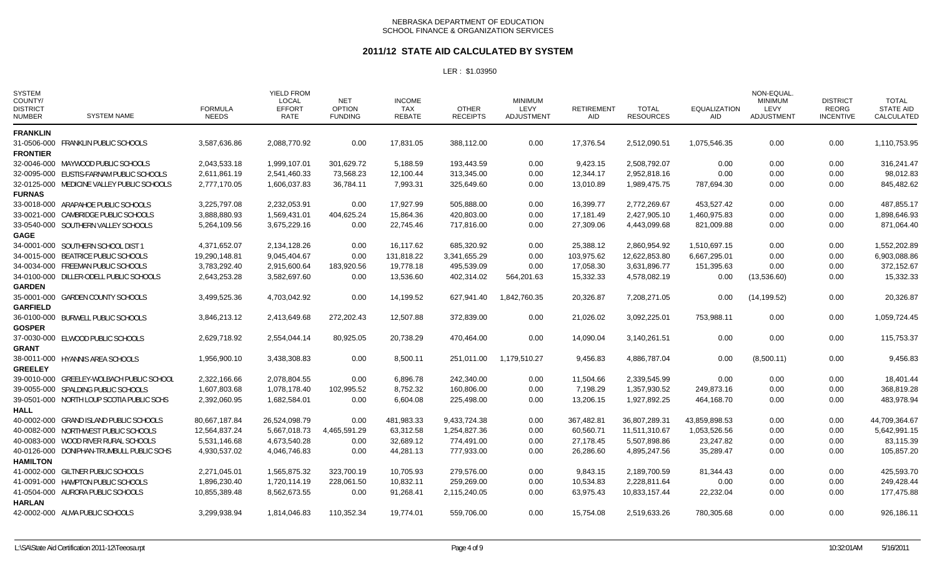#### **2011/12 STATE AID CALCULATED BY SYSTEM**

| <b>SYSTEM</b><br>COUNTY/<br><b>DISTRICT</b><br><b>NUMBER</b> | <b>SYSTEM NAME</b>                         | <b>FORMULA</b><br><b>NEEDS</b> | <b>YIELD FROM</b><br><b>LOCAL</b><br><b>EFFORT</b><br><b>RATE</b> | NET<br><b>OPTION</b><br><b>FUNDING</b> | <b>INCOME</b><br>TAX<br><b>REBATE</b> | <b>OTHER</b><br><b>RECEIPTS</b> | <b>MINIMUM</b><br>LEVY<br><b>ADJUSTMENT</b> | <b>RETIREMENT</b><br><b>AID</b> | <b>TOTAL</b><br><b>RESOURCES</b> | <b>EQUALIZATION</b><br><b>AID</b> | NON-EQUAL<br><b>MINIMUM</b><br>LEVY<br>ADJUSTMENT | <b>DISTRICT</b><br><b>REORG</b><br><b>INCENTIVE</b> | <b>TOTAL</b><br><b>STATE AID</b><br>CALCULATED |
|--------------------------------------------------------------|--------------------------------------------|--------------------------------|-------------------------------------------------------------------|----------------------------------------|---------------------------------------|---------------------------------|---------------------------------------------|---------------------------------|----------------------------------|-----------------------------------|---------------------------------------------------|-----------------------------------------------------|------------------------------------------------|
| <b>FRANKLIN</b>                                              |                                            |                                |                                                                   |                                        |                                       |                                 |                                             |                                 |                                  |                                   |                                                   |                                                     |                                                |
| <b>FRONTIER</b>                                              | 31-0506-000 FRANKLIN PUBLIC SCHOOLS        | 3.587.636.86                   | 2.088.770.92                                                      | 0.00                                   | 17.831.05                             | 388.112.00                      | 0.00                                        | 17.376.54                       | 2,512,090.51                     | 1.075.546.35                      | 0.00                                              | 0.00                                                | 1,110,753.95                                   |
|                                                              | 32-0046-000 MAYWOOD PUBLIC SCHOOLS         | 2,043,533.18                   | 1,999,107.01                                                      | 301,629.72                             | 5,188.59                              | 193,443.59                      | 0.00                                        | 9,423.15                        | 2,508,792.07                     | 0.00                              | 0.00                                              | 0.00                                                | 316,241.47                                     |
|                                                              | 32-0095-000 EUSTIS-FARNAM PUBLIC SCHOOLS   | 2,611,861.19                   | 2,541,460.33                                                      | 73,568.23                              | 12,100.44                             | 313,345.00                      | 0.00                                        | 12,344.17                       | 2,952,818.16                     | 0.00                              | 0.00                                              | 0.00                                                | 98,012.83                                      |
|                                                              | 32-0125-000 MEDICINE VALLEY PUBLIC SCHOOLS | 2,777,170.05                   | 1,606,037.83                                                      | 36,784.11                              | 7,993.31                              | 325,649.60                      | 0.00                                        | 13,010.89                       | 1,989,475.75                     | 787,694.30                        | 0.00                                              | 0.00                                                | 845,482.62                                     |
| <b>FURNAS</b>                                                |                                            |                                |                                                                   |                                        |                                       |                                 |                                             |                                 |                                  |                                   |                                                   |                                                     |                                                |
|                                                              | 33-0018-000 ARAPAHOE PUBLIC SCHOOLS        | 3.225.797.08                   | 2,232,053.91                                                      | 0.00                                   | 17.927.99                             | 505,888.00                      | 0.00                                        | 16,399.77                       | 2,772,269.67                     | 453.527.42                        | 0.00                                              | 0.00                                                | 487,855.17                                     |
|                                                              | 33-0021-000 CAMBRIDGE PUBLIC SCHOOLS       | 3,888,880.93                   | 1,569,431.01                                                      | 404,625.24                             | 15,864.36                             | 420,803.00                      | 0.00                                        | 17,181.49                       | 2,427,905.10                     | 1,460,975.83                      | 0.00                                              | 0.00                                                | 1,898,646.93                                   |
|                                                              | 33-0540-000 SOUTHERN VALLEY SCHOOLS        | 5,264,109.56                   | 3,675,229.16                                                      | 0.00                                   | 22,745.46                             | 717,816.00                      | 0.00                                        | 27,309.06                       | 4,443,099.68                     | 821,009.88                        | 0.00                                              | 0.00                                                | 871,064.40                                     |
| <b>GAGE</b>                                                  |                                            |                                |                                                                   |                                        |                                       |                                 |                                             |                                 |                                  |                                   |                                                   |                                                     |                                                |
|                                                              | 34-0001-000 SOUTHERN SCHOOL DIST 1         | 4,371,652.07                   | 2,134,128.26                                                      | 0.00                                   | 16.117.62                             | 685,320.92                      | 0.00                                        | 25,388.12                       | 2,860,954.92                     | 1,510,697.15                      | 0.00                                              | 0.00                                                | 1,552,202.89                                   |
|                                                              | 34-0015-000 BEATRICE PUBLIC SCHOOLS        | 19,290,148.81                  | 9,045,404.67                                                      | 0.00                                   | 131,818.22                            | 3,341,655.29                    | 0.00                                        | 103,975.62                      | 12,622,853.80                    | 6,667,295.01                      | 0.00                                              | 0.00                                                | 6,903,088.86                                   |
|                                                              | 34-0034-000 FREEMAN PUBLIC SCHOOLS         | 3,783,292.40                   | 2,915,600.64                                                      | 183,920.56                             | 19,778.18                             | 495,539.09                      | 0.00                                        | 17,058.30                       | 3,631,896.77                     | 151,395.63                        | 0.00                                              | 0.00                                                | 372,152.67                                     |
|                                                              | 34-0100-000 DILLER-ODELL PUBLIC SCHOOLS    | 2,643,253.28                   | 3,582,697.60                                                      | 0.00                                   | 13,536.60                             | 402,314.02                      | 564,201.63                                  | 15,332.33                       | 4,578,082.19                     | 0.00                              | (13,536.60)                                       | 0.00                                                | 15,332.33                                      |
| <b>GARDEN</b>                                                |                                            |                                |                                                                   |                                        |                                       |                                 |                                             |                                 |                                  |                                   |                                                   |                                                     |                                                |
|                                                              | 35-0001-000 GARDEN COUNTY SCHOOLS          | 3,499,525.36                   | 4,703,042.92                                                      | 0.00                                   | 14,199.52                             | 627,941.40                      | 1,842,760.35                                | 20,326.87                       | 7,208,271.05                     | 0.00                              | (14, 199.52)                                      | 0.00                                                | 20,326.87                                      |
| <b>GARFIELD</b>                                              |                                            |                                |                                                                   |                                        |                                       |                                 |                                             |                                 |                                  |                                   |                                                   |                                                     |                                                |
|                                                              | 36-0100-000 BURWELL PUBLIC SCHOOLS         | 3,846,213.12                   | 2,413,649.68                                                      | 272,202.43                             | 12,507.88                             | 372,839.00                      | 0.00                                        | 21,026.02                       | 3,092,225.01                     | 753,988.11                        | 0.00                                              | 0.00                                                | 1,059,724.45                                   |
| <b>GOSPER</b>                                                |                                            |                                |                                                                   |                                        |                                       |                                 |                                             |                                 |                                  |                                   |                                                   |                                                     |                                                |
|                                                              | 37-0030-000 ELWOOD PUBLIC SCHOOLS          | 2,629,718.92                   | 2,554,044.14                                                      | 80,925.05                              | 20,738.29                             | 470,464.00                      | 0.00                                        | 14,090.04                       | 3,140,261.51                     | 0.00                              | 0.00                                              | 0.00                                                | 115,753.37                                     |
| <b>GRANT</b>                                                 |                                            |                                |                                                                   |                                        |                                       |                                 |                                             |                                 |                                  |                                   |                                                   |                                                     |                                                |
|                                                              | 38-0011-000 HYANNIS AREA SCHOOLS           | 1,956,900.10                   | 3,438,308.83                                                      | 0.00                                   | 8,500.11                              | 251.011.00                      | 1.179.510.27                                | 9,456.83                        | 4,886,787.04                     | 0.00                              | (8,500.11)                                        | 0.00                                                | 9,456.83                                       |
| <b>GREELEY</b>                                               |                                            |                                |                                                                   |                                        |                                       |                                 |                                             |                                 |                                  |                                   |                                                   |                                                     |                                                |
|                                                              | 39-0010-000 GREELEY-WOLBACH PUBLIC SCHOOL  | 2,322,166.66                   | 2.078.804.55                                                      | 0.00                                   | 6,896.78                              | 242,340.00                      | 0.00                                        | 11,504.66                       | 2,339,545.99                     | 0.00                              | 0.00                                              | 0.00                                                | 18,401.44                                      |
|                                                              | 39-0055-000 SPALDING PUBLIC SCHOOLS        | 1,607,803.68                   | 1,078,178.40                                                      | 102,995.52                             | 8,752.32                              | 160,806.00                      | 0.00                                        | 7,198.29                        | 1,357,930.52                     | 249,873.16                        | 0.00                                              | 0.00                                                | 368,819.28                                     |
|                                                              | 39-0501-000 NORTH LOUP SCOTIA PUBLIC SCHS  | 2,392,060.95                   | 1,682,584.01                                                      | 0.00                                   | 6,604.08                              | 225,498.00                      | 0.00                                        | 13,206.15                       | 1,927,892.25                     | 464,168.70                        | 0.00                                              | 0.00                                                | 483,978.94                                     |
| <b>HALL</b>                                                  |                                            |                                |                                                                   |                                        |                                       |                                 |                                             |                                 |                                  |                                   |                                                   |                                                     |                                                |
|                                                              | 40-0002-000 GRAND ISLAND PUBLIC SCHOOLS    | 80,667,187.84                  | 26,524,098.79                                                     | 0.00                                   | 481,983.33                            | 9,433,724.38                    | 0.00                                        | 367,482.81                      | 36,807,289.31                    | 43,859,898.53                     | 0.00                                              | 0.00                                                | 44,709,364.67                                  |
|                                                              | 40-0082-000 NORTHWEST PUBLIC SCHOOLS       | 12,564,837.24                  | 5,667,018.73                                                      | 4,465,591.29                           | 63,312.58                             | 1,254,827.36                    | 0.00                                        | 60,560.71                       | 11,511,310.67                    | 1,053,526.56                      | 0.00                                              | 0.00                                                | 5,642,991.15                                   |
|                                                              | 40-0083-000 WOOD RIVER RURAL SCHOOLS       | 5,531,146.68                   | 4,673,540.28                                                      | 0.00                                   | 32,689.12                             | 774,491.00                      | 0.00                                        | 27,178.45                       | 5,507,898.86                     | 23,247.82                         | 0.00                                              | 0.00                                                | 83,115.39                                      |
|                                                              | 40-0126-000 DONIPHAN-TRUMBULL PUBLIC SCHS  | 4,930,537.02                   | 4,046,746.83                                                      | 0.00                                   | 44,281.13                             | 777,933.00                      | 0.00                                        | 26,286.60                       | 4,895,247.56                     | 35,289.47                         | 0.00                                              | 0.00                                                | 105,857.20                                     |
| <b>HAMILTON</b>                                              |                                            |                                |                                                                   |                                        |                                       |                                 |                                             |                                 |                                  |                                   |                                                   |                                                     |                                                |
|                                                              | 41-0002-000 GILTNER PUBLIC SCHOOLS         | 2,271,045.01                   | 1,565,875.32                                                      | 323,700.19                             | 10,705.93                             | 279,576.00                      | 0.00                                        | 9,843.15                        | 2,189,700.59                     | 81,344.43                         | 0.00                                              | 0.00                                                | 425,593.70                                     |
|                                                              | 41-0091-000 HAMPTON PUBLIC SCHOOLS         | 1.896.230.40                   | 1.720.114.19                                                      | 228,061.50                             | 10,832.11                             | 259.269.00                      | 0.00                                        | 10,534.83                       | 2.228.811.64                     | 0.00                              | 0.00                                              | 0.00                                                | 249.428.44                                     |
|                                                              | 41-0504-000 AURORA PUBLIC SCHOOLS          | 10.855.389.48                  | 8,562,673.55                                                      | 0.00                                   | 91,268.41                             | 2,115,240.05                    | 0.00                                        | 63,975.43                       | 10,833,157.44                    | 22,232.04                         | 0.00                                              | 0.00                                                | 177,475.88                                     |
| <b>HARLAN</b>                                                |                                            |                                |                                                                   |                                        |                                       |                                 |                                             |                                 |                                  |                                   |                                                   |                                                     |                                                |
|                                                              | 42-0002-000 ALMA PUBLIC SCHOOLS            | 3,299,938.94                   | 1,814,046.83                                                      | 110,352.34                             | 19,774.01                             | 559,706.00                      | 0.00                                        | 15,754.08                       | 2,519,633.26                     | 780,305.68                        | 0.00                                              | 0.00                                                | 926,186.11                                     |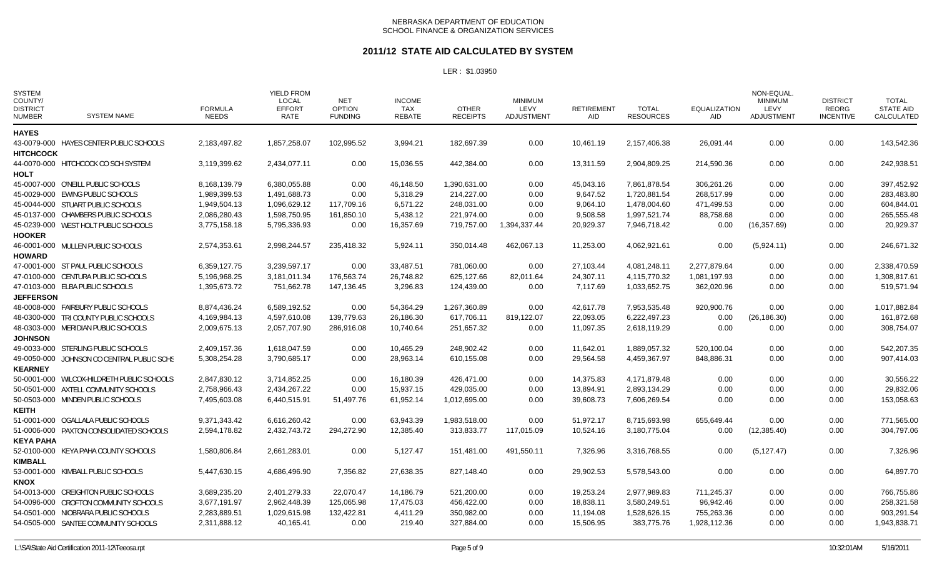#### **2011/12 STATE AID CALCULATED BY SYSTEM**

| <b>SYSTEM</b><br>COUNTY/<br><b>DISTRICT</b><br><b>NUMBER</b> | <b>SYSTEM NAME</b>                         | <b>FORMULA</b><br><b>NEEDS</b> | <b>YIELD FROM</b><br><b>LOCAL</b><br><b>EFFORT</b><br>RATE | <b>NET</b><br><b>OPTION</b><br><b>FUNDING</b> | <b>INCOME</b><br>TAX<br><b>REBATE</b> | <b>OTHER</b><br><b>RECEIPTS</b> | <b>MINIMUM</b><br>LEVY<br><b>ADJUSTMENT</b> | <b>RETIREMENT</b><br><b>AID</b> | <b>TOTAL</b><br><b>RESOURCES</b> | <b>EQUALIZATION</b><br>AID | NON-EQUAL.<br><b>MINIMUM</b><br>LEVY<br><b>ADJUSTMENT</b> | <b>DISTRICT</b><br><b>REORG</b><br><b>INCENTIVE</b> | <b>TOTAL</b><br><b>STATE AID</b><br>CALCULATED |
|--------------------------------------------------------------|--------------------------------------------|--------------------------------|------------------------------------------------------------|-----------------------------------------------|---------------------------------------|---------------------------------|---------------------------------------------|---------------------------------|----------------------------------|----------------------------|-----------------------------------------------------------|-----------------------------------------------------|------------------------------------------------|
| <b>HAYES</b>                                                 |                                            |                                |                                                            |                                               |                                       |                                 |                                             |                                 |                                  |                            |                                                           |                                                     |                                                |
| <b>HITCHCOCK</b>                                             | 43-0079-000 HAYES CENTER PUBLIC SCHOOLS    | 2,183,497.82                   | 1,857,258.07                                               | 102,995.52                                    | 3,994.21                              | 182.697.39                      | 0.00                                        | 10,461.19                       | 2,157,406.38                     | 26,091.44                  | 0.00                                                      | 0.00                                                | 143,542.36                                     |
| <b>HOLT</b>                                                  | 44-0070-000 HITCHCOCK CO SCH SYSTEM        | 3,119,399.62                   | 2,434,077.11                                               | 0.00                                          | 15,036.55                             | 442,384.00                      | 0.00                                        | 13,311.59                       | 2,904,809.25                     | 214,590.36                 | 0.00                                                      | 0.00                                                | 242,938.51                                     |
|                                                              | 45-0007-000 O'NEILL PUBLIC SCHOOLS         | 8,168,139.79                   | 6,380,055.88                                               | 0.00                                          | 46,148.50                             | 1,390,631.00                    | 0.00                                        | 45,043.16                       | 7,861,878.54                     | 306,261.26                 | 0.00                                                      | 0.00                                                | 397,452.92                                     |
|                                                              | 45-0029-000 EWING PUBLIC SCHOOLS           | 1,989,399.53                   | 1,491,688.73                                               | 0.00                                          | 5,318.29                              | 214,227.00                      | 0.00                                        | 9,647.52                        | 1,720,881.54                     | 268,517.99                 | 0.00                                                      | 0.00                                                | 283,483.80                                     |
|                                                              | 45-0044-000 STUART PUBLIC SCHOOLS          | 1,949,504.13                   | 1,096,629.12                                               | 117,709.16                                    | 6,571.22                              | 248,031.00                      | 0.00                                        | 9,064.10                        | 1,478,004.60                     | 471,499.53                 | 0.00                                                      | 0.00                                                | 604,844.01                                     |
|                                                              | 45-0137-000 CHAMBERS PUBLIC SCHOOLS        | 2,086,280.43                   | 1,598,750.95                                               | 161,850.10                                    | 5,438.12                              | 221,974.00                      | 0.00                                        | 9,508.58                        | 1,997,521.74                     | 88,758.68                  | 0.00                                                      | 0.00                                                | 265,555.48                                     |
| <b>HOOKER</b>                                                | 45-0239-000 WEST HOLT PUBLIC SCHOOLS       | 3,775,158.18                   | 5,795,336.93                                               | 0.00                                          | 16,357.69                             | 719,757.00                      | 1,394,337.44                                | 20,929.37                       | 7,946,718.42                     | 0.00                       | (16, 357.69)                                              | 0.00                                                | 20,929.37                                      |
|                                                              | 46-0001-000 MULLEN PUBLIC SCHOOLS          | 2.574.353.61                   | 2.998.244.57                                               | 235.418.32                                    | 5,924.11                              | 350.014.48                      | 462,067.13                                  | 11,253.00                       | 4,062,921.61                     | 0.00                       | (5,924.11)                                                | 0.00                                                | 246,671.32                                     |
| <b>HOWARD</b>                                                |                                            |                                |                                                            |                                               |                                       |                                 |                                             |                                 |                                  |                            |                                                           |                                                     |                                                |
|                                                              | 47-0001-000 ST PAUL PUBLIC SCHOOLS         | 6,359,127.75                   | 3,239,597.17                                               | 0.00                                          | 33,487.51                             | 781,060.00                      | 0.00                                        | 27,103.44                       | 4,081,248.11                     | 2,277,879.64               | 0.00                                                      | 0.00                                                | 2,338,470.59                                   |
|                                                              | 47-0100-000 CENTURA PUBLIC SCHOOLS         | 5,196,968.25                   | 3,181,011.34                                               | 176,563.74                                    | 26,748.82                             | 625,127.66                      | 82,011.64                                   | 24,307.11                       | 4,115,770.32                     | 1,081,197.93               | 0.00                                                      | 0.00                                                | 1,308,817.61                                   |
|                                                              | 47-0103-000 ELBA PUBLIC SCHOOLS            | 1,395,673.72                   | 751,662.78                                                 | 147,136.45                                    | 3,296.83                              | 124,439.00                      | 0.00                                        | 7,117.69                        | 1,033,652.75                     | 362,020.96                 | 0.00                                                      | 0.00                                                | 519,571.94                                     |
| <b>JEFFERSON</b>                                             |                                            |                                |                                                            |                                               |                                       |                                 |                                             |                                 |                                  |                            |                                                           |                                                     |                                                |
|                                                              | 48-0008-000 FAIRBURY PUBLIC SCHOOLS        | 8,874,436.24                   | 6,589,192.52                                               | 0.00                                          | 54,364.29                             | 1,267,360.89                    | 0.00                                        | 42,617.78                       | 7,953,535.48                     | 920,900.76                 | 0.00                                                      | 0.00                                                | 1,017,882.84                                   |
|                                                              | 48-0300-000 TRI COUNTY PUBLIC SCHOOLS      | 4,169,984.13                   | 4,597,610.08                                               | 139,779.63                                    | 26,186.30                             | 617,706.11                      | 819,122.07                                  | 22,093.05                       | 6,222,497.23                     | 0.00                       | (26, 186.30)                                              | 0.00                                                | 161,872.68                                     |
|                                                              | 48-0303-000 MERIDIAN PUBLIC SCHOOLS        | 2,009,675.13                   | 2,057,707.90                                               | 286,916.08                                    | 10,740.64                             | 251,657.32                      | 0.00                                        | 11,097.35                       | 2,618,119.29                     | 0.00                       | 0.00                                                      | 0.00                                                | 308,754.07                                     |
| <b>JOHNSON</b>                                               |                                            |                                |                                                            |                                               |                                       |                                 |                                             |                                 |                                  |                            |                                                           |                                                     |                                                |
|                                                              | 49-0033-000 STERLING PUBLIC SCHOOLS        | 2,409,157.36                   | 1,618,047.59                                               | 0.00                                          | 10,465.29                             | 248,902.42                      | 0.00                                        | 11,642.01                       | 1,889,057.32                     | 520,100.04                 | 0.00                                                      | 0.00                                                | 542,207.35                                     |
| <b>KEARNEY</b>                                               | 49-0050-000 JOHNSON CO CENTRAL PUBLIC SCHS | 5.308.254.28                   | 3.790.685.17                                               | 0.00                                          | 28,963.14                             | 610,155.08                      | 0.00                                        | 29,564.58                       | 4.459.367.97                     | 848,886.31                 | 0.00                                                      | 0.00                                                | 907.414.03                                     |
|                                                              | 50-0001-000 WILCOX-HILDRETH PUBLIC SCHOOLS | 2,847,830.12                   | 3,714,852.25                                               | 0.00                                          | 16,180.39                             | 426,471.00                      | 0.00                                        | 14,375.83                       | 4,171,879.48                     | 0.00                       | 0.00                                                      | 0.00                                                | 30,556.22                                      |
|                                                              | 50-0501-000 AXTELL COMMUNITY SCHOOLS       | 2,758,966.43                   | 2,434,267.22                                               | 0.00                                          | 15,937.15                             | 429,035.00                      | 0.00                                        | 13,894.91                       | 2,893,134.29                     | 0.00                       | 0.00                                                      | 0.00                                                | 29,832.06                                      |
|                                                              | 50-0503-000 MINDEN PUBLIC SCHOOLS          | 7,495,603.08                   | 6,440,515.91                                               | 51,497.76                                     | 61,952.14                             | 1,012,695.00                    | 0.00                                        | 39,608.73                       | 7,606,269.54                     | 0.00                       | 0.00                                                      | 0.00                                                | 153,058.63                                     |
| <b>KEITH</b>                                                 |                                            |                                |                                                            |                                               |                                       |                                 |                                             |                                 |                                  |                            |                                                           |                                                     |                                                |
|                                                              | 51-0001-000 OGALLALA PUBLIC SCHOOLS        | 9,371,343.42                   | 6,616,260.42                                               | 0.00                                          | 63,943.39                             | 1,983,518.00                    | 0.00                                        | 51,972.17                       | 8,715,693.98                     | 655,649.44                 | 0.00                                                      | 0.00                                                | 771,565.00                                     |
|                                                              | 51-0006-000 PAXTON CONSOLIDATED SCHOOLS    | 2,594,178.82                   | 2,432,743.72                                               | 294,272.90                                    | 12,385.40                             | 313,833.77                      | 117,015.09                                  | 10,524.16                       | 3,180,775.04                     | 0.00                       | (12, 385.40)                                              | 0.00                                                | 304,797.06                                     |
| <b>KEYA PAHA</b>                                             |                                            |                                |                                                            |                                               |                                       |                                 |                                             |                                 |                                  |                            |                                                           |                                                     |                                                |
|                                                              | 52-0100-000 KEYA PAHA COUNTY SCHOOLS       | 1,580,806.84                   | 2,661,283.01                                               | 0.00                                          | 5,127.47                              | 151,481.00                      | 491,550.11                                  | 7,326.96                        | 3,316,768.55                     | 0.00                       | (5, 127.47)                                               | 0.00                                                | 7,326.96                                       |
| <b>KIMBALL</b>                                               |                                            |                                |                                                            |                                               |                                       |                                 |                                             |                                 |                                  |                            |                                                           |                                                     |                                                |
| <b>KNOX</b>                                                  | 53-0001-000 KIMBALL PUBLIC SCHOOLS         | 5,447,630.15                   | 4,686,496.90                                               | 7.356.82                                      | 27,638.35                             | 827.148.40                      | 0.00                                        | 29,902.53                       | 5,578,543.00                     | 0.00                       | 0.00                                                      | 0.00                                                | 64,897.70                                      |
|                                                              | 54-0013-000 CREIGHTON PUBLIC SCHOOLS       | 3,689,235.20                   | 2,401,279.33                                               | 22,070.47                                     | 14,186.79                             | 521,200.00                      | 0.00                                        | 19,253.24                       | 2,977,989.83                     | 711,245.37                 | 0.00                                                      | 0.00                                                | 766,755.86                                     |
|                                                              | 54-0096-000 CROFTON COMMUNITY SCHOOLS      | 3,677,191.97                   | 2,962,448.39                                               | 125,065.98                                    | 17,475.03                             | 456,422.00                      | 0.00                                        | 18,838.11                       | 3,580,249.51                     | 96,942.46                  | 0.00                                                      | 0.00                                                | 258,321.58                                     |
|                                                              | 54-0501-000 NIOBRARA PUBLIC SCHOOLS        | 2,283,889.51                   | 1,029,615.98                                               | 132,422.81                                    | 4,411.29                              | 350,982.00                      | 0.00                                        | 11,194.08                       | 1,528,626.15                     | 755,263.36                 | 0.00                                                      | 0.00                                                | 903,291.54                                     |
|                                                              | 54-0505-000 SANTEE COMMUNITY SCHOOLS       | 2,311,888.12                   | 40,165.41                                                  | 0.00                                          | 219.40                                | 327,884.00                      | 0.00                                        | 15,506.95                       | 383,775.76                       | 1,928,112.36               | 0.00                                                      | 0.00                                                | 1,943,838.71                                   |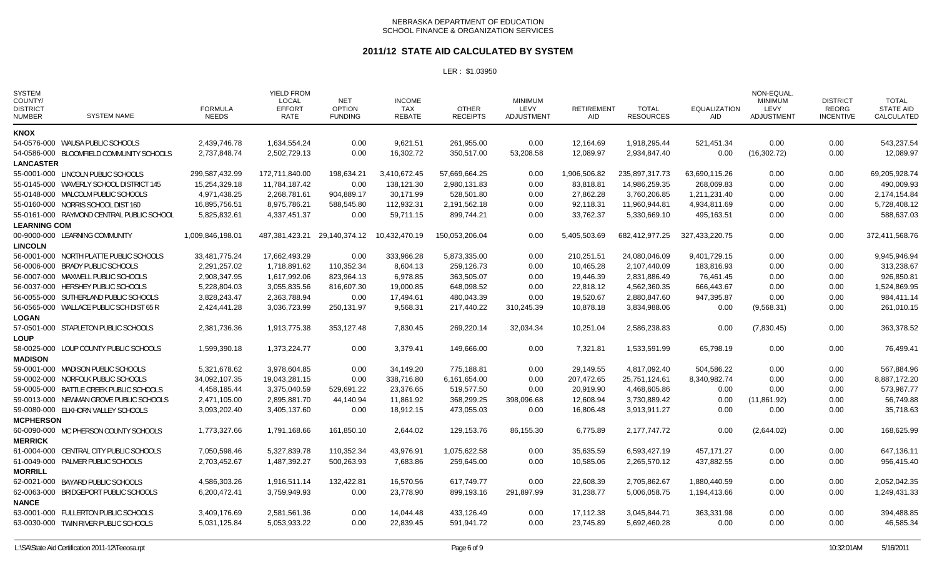#### **2011/12 STATE AID CALCULATED BY SYSTEM**

| <b>SYSTEM</b><br>COUNTY/<br><b>DISTRICT</b><br><b>NUMBER</b> | <b>SYSTEM NAME</b>                        | <b>FORMULA</b><br><b>NEEDS</b> | <b>YIELD FROM</b><br>LOCAL<br><b>EFFORT</b><br>RATE | <b>NET</b><br><b>OPTION</b><br><b>FUNDING</b> | <b>INCOME</b><br>TAX<br>REBATE | <b>OTHER</b><br><b>RECEIPTS</b> | <b>MINIMUM</b><br>LEVY<br>ADJUSTMENT | <b>RETIREMENT</b><br>AID. | <b>TOTAL</b><br><b>RESOURCES</b> | <b>EQUALIZATION</b><br><b>AID</b> | <b>NON-EQUAL</b><br><b>MINIMUM</b><br>LEVY<br>ADJUSTMENT | <b>DISTRICT</b><br><b>REORG</b><br><b>INCENTIVE</b> | <b>TOTAL</b><br><b>STATE AID</b><br>CALCULATED |
|--------------------------------------------------------------|-------------------------------------------|--------------------------------|-----------------------------------------------------|-----------------------------------------------|--------------------------------|---------------------------------|--------------------------------------|---------------------------|----------------------------------|-----------------------------------|----------------------------------------------------------|-----------------------------------------------------|------------------------------------------------|
| <b>KNOX</b>                                                  |                                           |                                |                                                     |                                               |                                |                                 |                                      |                           |                                  |                                   |                                                          |                                                     |                                                |
|                                                              | 54-0576-000 WAUSA PUBLIC SCHOOLS          | 2,439,746.78                   | 1.634.554.24                                        | 0.00                                          | 9,621.51                       | 261.955.00                      | 0.00                                 | 12,164.69                 | 1,918,295.44                     | 521,451.34                        | 0.00                                                     | 0.00                                                | 543,237.54                                     |
|                                                              | 54-0586-000 BLOOMFIELD COMMUNITY SCHOOLS  | 2,737,848.74                   | 2,502,729.13                                        | 0.00                                          | 16,302.72                      | 350,517.00                      | 53,208.58                            | 12,089.97                 | 2,934,847.40                     | 0.00                              | (16,302.72)                                              | 0.00                                                | 12,089.97                                      |
| <b>LANCASTER</b>                                             |                                           |                                |                                                     |                                               |                                |                                 |                                      |                           |                                  |                                   |                                                          |                                                     |                                                |
|                                                              | 55-0001-000 LINCOLN PUBLIC SCHOOLS        | 299,587,432.99                 | 172,711,840.00                                      | 198,634.21                                    | 3,410,672.45                   | 57,669,664.25                   | 0.00                                 | 1,906,506.82              | 235,897,317.73                   | 63,690,115.26                     | 0.00                                                     | 0.00                                                | 69,205,928.74                                  |
|                                                              | 55-0145-000 WAVERLY SCHOOL DISTRICT 145   | 15,254,329.18                  | 11,784,187.42                                       | 0.00                                          | 138,121.30                     | 2,980,131.83                    | 0.00                                 | 83,818.81                 | 14,986,259.35                    | 268,069.83                        | 0.00                                                     | 0.00                                                | 490,009.93                                     |
|                                                              | 55-0148-000 MALCOLM PUBLIC SCHOOLS        | 4,971,438.25                   | 2,268,781.61                                        | 904,889.17                                    | 30.171.99                      | 528,501.80                      | 0.00                                 | 27,862.28                 | 3,760,206.85                     | 1,211,231.40                      | 0.00                                                     | 0.00                                                | 2,174,154.84                                   |
|                                                              | 55-0160-000 NORRIS SCHOOL DIST 160        | 16,895,756.51                  | 8,975,786.21                                        | 588.545.80                                    | 112,932.31                     | 2,191,562.18                    | 0.00                                 | 92,118.31                 | 11,960,944.81                    | 4,934,811.69                      | 0.00                                                     | 0.00                                                | 5,728,408.12                                   |
|                                                              | 55-0161-000 RAYMOND CENTRAL PUBLIC SCHOOL | 5,825,832.61                   | 4,337,451.37                                        | 0.00                                          | 59,711.15                      | 899,744.21                      | 0.00                                 | 33,762.37                 | 5,330,669.10                     | 495,163.51                        | 0.00                                                     | 0.00                                                | 588,637.03                                     |
| <b>LEARNING COM</b>                                          |                                           |                                |                                                     |                                               |                                |                                 |                                      |                           |                                  |                                   |                                                          |                                                     |                                                |
|                                                              | 00-9000-000 LEARNING COMMUNITY            | 1,009,846,198.01               | 487,381,423.21                                      | 29,140,374.12                                 | 10,432,470.19                  | 150,053,206.04                  | 0.00                                 | 5,405,503.69              | 682,412,977.25                   | 327,433,220.75                    | 0.00                                                     | 0.00                                                | 372,411,568.76                                 |
| <b>LINCOLN</b>                                               |                                           |                                |                                                     |                                               |                                |                                 |                                      |                           |                                  |                                   |                                                          |                                                     |                                                |
|                                                              | 56-0001-000 NORTH PLATTE PUBLIC SCHOOLS   | 33,481,775.24                  | 17,662,493.29                                       | 0.00                                          | 333,966.28                     | 5,873,335.00                    | 0.00                                 | 210,251.51                | 24,080,046.09                    | 9,401,729.15                      | 0.00                                                     | 0.00                                                | 9,945,946.94                                   |
|                                                              | 56-0006-000 BRADY PUBLIC SCHOOLS          | 2,291,257.02                   | 1,718,891.62                                        | 110,352.34                                    | 8,604.13                       | 259,126.73                      | 0.00                                 | 10,465.28                 | 2,107,440.09                     | 183,816.93                        | 0.00                                                     | 0.00                                                | 313,238.67                                     |
|                                                              | 56-0007-000 MAXWELL PUBLIC SCHOOLS        | 2,908,347.95                   | 1,617,992.06                                        | 823,964.13                                    | 6,978.85                       | 363,505.07                      | 0.00                                 | 19,446.39                 | 2,831,886.49                     | 76,461.45                         | 0.00                                                     | 0.00                                                | 926,850.81                                     |
|                                                              | 56-0037-000 HERSHEY PUBLIC SCHOOLS        | 5,228,804.03                   | 3,055,835.56                                        | 816,607.30                                    | 19,000.85                      | 648,098.52                      | 0.00                                 | 22,818.12                 | 4,562,360.35                     | 666,443.67                        | 0.00                                                     | 0.00                                                | 1,524,869.95                                   |
|                                                              | 56-0055-000 SUTHERLAND PUBLIC SCHOOLS     | 3,828,243.47                   | 2,363,788.94                                        | 0.00                                          | 17,494.61                      | 480,043.39                      | 0.00                                 | 19,520.67                 | 2,880,847.60                     | 947,395.87                        | 0.00                                                     | 0.00                                                | 984,411.14                                     |
|                                                              | 56-0565-000 WALLACE PUBLIC SCH DIST 65 R  | 2,424,441.28                   | 3,036,723.99                                        | 250,131.97                                    | 9,568.31                       | 217,440.22                      | 310,245.39                           | 10,878.18                 | 3,834,988.06                     | 0.00                              | (9,568.31)                                               | 0.00                                                | 261,010.15                                     |
| <b>LOGAN</b>                                                 |                                           |                                |                                                     |                                               |                                |                                 |                                      |                           |                                  |                                   |                                                          |                                                     |                                                |
|                                                              | 57-0501-000 STAPLETON PUBLIC SCHOOLS      | 2.381.736.36                   | 1,913,775.38                                        | 353.127.48                                    | 7,830.45                       | 269.220.14                      | 32.034.34                            | 10,251.04                 | 2.586.238.83                     | 0.00                              | (7,830.45)                                               | 0.00                                                | 363.378.52                                     |
| <b>LOUP</b>                                                  |                                           |                                |                                                     |                                               |                                |                                 |                                      |                           |                                  |                                   |                                                          |                                                     |                                                |
|                                                              | 58-0025-000 LOUP COUNTY PUBLIC SCHOOLS    | 1,599,390.18                   | 1,373,224.77                                        | 0.00                                          | 3,379.41                       | 149,666.00                      | 0.00                                 | 7,321.81                  | 1,533,591.99                     | 65,798.19                         | 0.00                                                     | 0.00                                                | 76,499.41                                      |
| <b>MADISON</b>                                               |                                           |                                |                                                     |                                               |                                |                                 |                                      |                           |                                  |                                   |                                                          |                                                     |                                                |
|                                                              | 59-0001-000 MADISON PUBLIC SCHOOLS        | 5,321,678.62                   | 3,978,604.85                                        | 0.00                                          | 34,149.20                      | 775,188.81                      | 0.00                                 | 29,149.55                 | 4,817,092.40                     | 504,586.22                        | 0.00                                                     | 0.00                                                | 567,884.96                                     |
|                                                              | 59-0002-000 NORFOLK PUBLIC SCHOOLS        | 34,092,107.35                  | 19,043,281.15                                       | 0.00                                          | 338,716.80                     | 6,161,654.00                    | 0.00                                 | 207,472.65                | 25,751,124.61                    | 8,340,982.74                      | 0.00                                                     | 0.00                                                | 8,887,172.20                                   |
|                                                              | 59-0005-000 BATTLE CREEK PUBLIC SCHOOLS   | 4,458,185.44                   | 3,375,040.59                                        | 529,691.22                                    | 23,376.65                      | 519,577.50                      | 0.00                                 | 20,919.90                 | 4,468,605.86                     | 0.00                              | 0.00                                                     | 0.00                                                | 573,987.77                                     |
|                                                              | 59-0013-000 NEWMAN GROVE PUBLIC SCHOOLS   | 2,471,105.00                   | 2,895,881.70                                        | 44,140.94                                     | 11,861.92                      | 368,299.25                      | 398,096.68                           | 12,608.94                 | 3,730,889.42                     | 0.00                              | (11,861.92)                                              | 0.00                                                | 56,749.88                                      |
|                                                              | 59-0080-000 ELKHORN VALLEY SCHOOLS        | 3,093,202.40                   | 3,405,137.60                                        | 0.00                                          | 18,912.15                      | 473,055.03                      | 0.00                                 | 16,806.48                 | 3,913,911.27                     | 0.00                              | 0.00                                                     | 0.00                                                | 35,718.63                                      |
| <b>MCPHERSON</b>                                             |                                           |                                |                                                     |                                               |                                |                                 |                                      |                           |                                  |                                   |                                                          |                                                     |                                                |
|                                                              | 60-0090-000 MC PHERSON COUNTY SCHOOLS     | 1,773,327.66                   | 1,791,168.66                                        | 161,850.10                                    | 2,644.02                       | 129,153.76                      | 86,155.30                            | 6,775.89                  | 2,177,747.72                     | 0.00                              | (2,644.02)                                               | 0.00                                                | 168,625.99                                     |
| <b>MERRICK</b>                                               |                                           |                                |                                                     |                                               |                                |                                 |                                      |                           |                                  |                                   |                                                          |                                                     |                                                |
|                                                              | 61-0004-000 CENTRAL CITY PUBLIC SCHOOLS   | 7,050,598.46                   | 5,327,839.78                                        | 110,352.34                                    | 43,976.91                      | 1,075,622.58                    | 0.00                                 | 35,635.59                 | 6,593,427.19                     | 457,171.27                        | 0.00                                                     | 0.00                                                | 647,136.11                                     |
|                                                              | 61-0049-000 PALMER PUBLIC SCHOOLS         | 2,703,452.67                   | 1,487,392.27                                        | 500,263.93                                    | 7,683.86                       | 259.645.00                      | 0.00                                 | 10,585.06                 | 2,265,570.12                     | 437,882.55                        | 0.00                                                     | 0.00                                                | 956.415.40                                     |
| <b>MORRILL</b>                                               |                                           |                                |                                                     |                                               |                                |                                 |                                      |                           |                                  |                                   |                                                          |                                                     |                                                |
|                                                              | 62-0021-000 BAYARD PUBLIC SCHOOLS         | 4,586,303.26                   | 1,916,511.14                                        | 132,422.81                                    | 16,570.56                      | 617,749.77                      | 0.00                                 | 22,608.39                 | 2,705,862.67                     | 1,880,440.59                      | 0.00                                                     | 0.00                                                | 2,052,042.35                                   |
|                                                              | 62-0063-000 BRIDGEPORT PUBLIC SCHOOLS     | 6,200,472.41                   | 3,759,949.93                                        | 0.00                                          | 23,778.90                      | 899,193.16                      | 291,897.99                           | 31,238.77                 | 5,006,058.75                     | 1,194,413.66                      | 0.00                                                     | 0.00                                                | 1,249,431.33                                   |
| <b>NANCE</b>                                                 |                                           |                                |                                                     |                                               |                                |                                 |                                      |                           |                                  |                                   |                                                          |                                                     |                                                |
|                                                              | 63-0001-000 FULLERTON PUBLIC SCHOOLS      | 3,409,176.69                   | 2,581,561.36                                        | 0.00                                          | 14,044.48                      | 433,126.49                      | 0.00                                 | 17,112.38                 | 3,045,844.71                     | 363,331.98                        | 0.00                                                     | 0.00                                                | 394,488.85                                     |
|                                                              | 63-0030-000 TWIN RIVER PUBLIC SCHOOLS     | 5,031,125.84                   | 5,053,933.22                                        | 0.00                                          | 22,839.45                      | 591,941.72                      | 0.00                                 | 23,745.89                 | 5,692,460.28                     | 0.00                              | 0.00                                                     | 0.00                                                | 46,585.34                                      |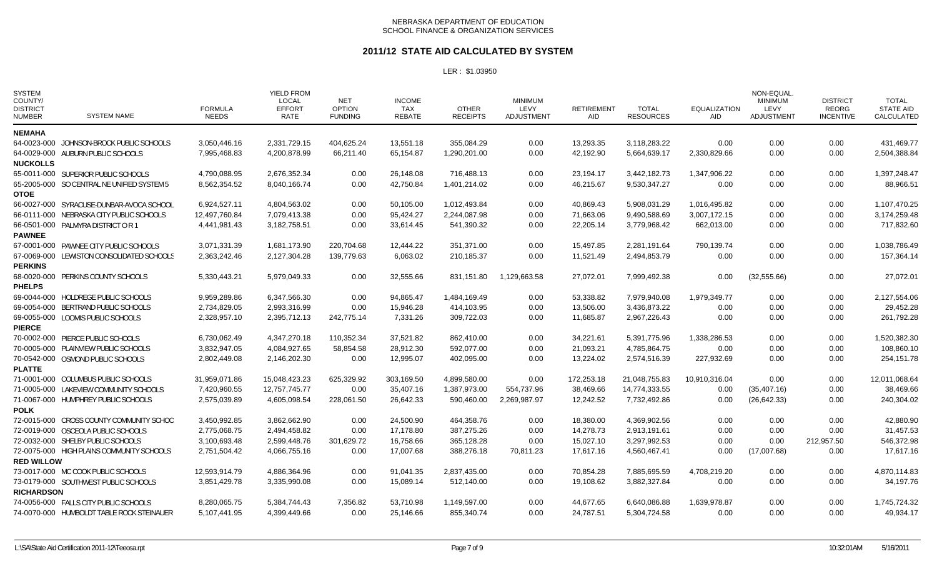### **2011/12 STATE AID CALCULATED BY SYSTEM**

| <b>SYSTEM</b><br>COUNTY/<br><b>DISTRICT</b><br><b>NUMBER</b> | <b>SYSTEM NAME</b>                         | <b>FORMULA</b><br><b>NEEDS</b> | <b>YIELD FROM</b><br><b>LOCAL</b><br><b>EFFORT</b><br>RATE | <b>NET</b><br><b>OPTION</b><br><b>FUNDING</b> | <b>INCOME</b><br><b>TAX</b><br><b>REBATE</b> | <b>OTHER</b><br><b>RECEIPTS</b> | <b>MINIMUM</b><br><b>LEVY</b><br><b>ADJUSTMENT</b> | <b>RETIREMENT</b><br>AID | <b>TOTAL</b><br><b>RESOURCES</b> | <b>EQUALIZATION</b><br>AID | NON-EQUAL.<br><b>MINIMUM</b><br>LEVY<br><b>ADJUSTMENT</b> | <b>DISTRICT</b><br><b>REORG</b><br><b>INCENTIVE</b> | <b>TOTAL</b><br><b>STATE AID</b><br>CALCULATED |
|--------------------------------------------------------------|--------------------------------------------|--------------------------------|------------------------------------------------------------|-----------------------------------------------|----------------------------------------------|---------------------------------|----------------------------------------------------|--------------------------|----------------------------------|----------------------------|-----------------------------------------------------------|-----------------------------------------------------|------------------------------------------------|
| <b>NEMAHA</b>                                                |                                            |                                |                                                            |                                               |                                              |                                 |                                                    |                          |                                  |                            |                                                           |                                                     |                                                |
|                                                              | 64-0023-000 JOHNSON-BROCK PUBLIC SCHOOLS   | 3,050,446.16                   | 2,331,729.15                                               | 404,625.24                                    | 13,551.18                                    | 355,084.29                      | 0.00                                               | 13,293.35                | 3,118,283.22                     | 0.00                       | 0.00                                                      | 0.00                                                | 431,469.77                                     |
|                                                              | 64-0029-000 AUBURN PUBLIC SCHOOLS          | 7.995.468.83                   | 4,200,878.99                                               | 66,211.40                                     | 65.154.87                                    | 1,290,201.00                    | 0.00                                               | 42,192.90                | 5,664,639.17                     | 2,330,829.66               | 0.00                                                      | 0.00                                                | 2,504,388.84                                   |
| <b>NUCKOLLS</b>                                              |                                            |                                |                                                            |                                               |                                              |                                 |                                                    |                          |                                  |                            |                                                           |                                                     |                                                |
|                                                              | 65-0011-000 SUPERIOR PUBLIC SCHOOLS        | 4,790,088.95                   | 2,676,352.34                                               | 0.00                                          | 26,148.08                                    | 716,488.13                      | 0.00                                               | 23,194.17                | 3,442,182.73                     | 1,347,906.22               | 0.00                                                      | 0.00                                                | 1,397,248.47                                   |
|                                                              | 65-2005-000 SO CENTRAL NE UNIFIED SYSTEM 5 | 8,562,354.52                   | 8,040,166.74                                               | 0.00                                          | 42,750.84                                    | 1,401,214.02                    | 0.00                                               | 46,215.67                | 9,530,347.27                     | 0.00                       | 0.00                                                      | 0.00                                                | 88,966.51                                      |
| <b>OTOE</b>                                                  |                                            |                                |                                                            |                                               |                                              |                                 |                                                    |                          |                                  |                            |                                                           |                                                     |                                                |
|                                                              | 66-0027-000 SYRACUSE-DUNBAR-AVOCA SCHOOL   | 6,924,527.11                   | 4,804,563.02                                               | 0.00                                          | 50,105.00                                    | 1,012,493.84                    | 0.00                                               | 40,869.43                | 5,908,031.29                     | 1,016,495.82               | 0.00                                                      | 0.00                                                | 1,107,470.25                                   |
|                                                              | 66-0111-000 NEBRASKA CITY PUBLIC SCHOOLS   | 12,497,760.84                  | 7,079,413.38                                               | 0.00                                          | 95,424.27                                    | 2,244,087.98                    | 0.00                                               | 71,663.06                | 9,490,588.69                     | 3,007,172.15               | 0.00                                                      | 0.00                                                | 3,174,259.48                                   |
|                                                              | 66-0501-000 PALMYRA DISTRICT OR 1          | 4,441,981.43                   | 3,182,758.51                                               | 0.00                                          | 33,614.45                                    | 541,390.32                      | 0.00                                               | 22,205.14                | 3,779,968.42                     | 662,013.00                 | 0.00                                                      | 0.00                                                | 717,832.60                                     |
| <b>PAWNEE</b>                                                |                                            |                                |                                                            |                                               |                                              |                                 |                                                    |                          |                                  |                            |                                                           |                                                     |                                                |
|                                                              | 67-0001-000 PAWNEE CITY PUBLIC SCHOOLS     | 3,071,331.39                   | 1,681,173.90                                               | 220.704.68                                    | 12.444.22                                    | 351.371.00                      | 0.00                                               | 15.497.85                | 2,281,191.64                     | 790,139.74                 | 0.00                                                      | 0.00                                                | 1.038.786.49                                   |
|                                                              | 67-0069-000 LEWISTON CONSOLIDATED SCHOOLS  | 2,363,242.46                   | 2,127,304.28                                               | 139,779.63                                    | 6,063.02                                     | 210,185.37                      | 0.00                                               | 11,521.49                | 2,494,853.79                     | 0.00                       | 0.00                                                      | 0.00                                                | 157,364.14                                     |
| <b>PERKINS</b>                                               |                                            |                                |                                                            |                                               |                                              |                                 |                                                    |                          |                                  |                            |                                                           |                                                     |                                                |
|                                                              | 68-0020-000 PERKINS COUNTY SCHOOLS         | 5,330,443.21                   | 5,979,049.33                                               | 0.00                                          | 32,555.66                                    | 831,151.80                      | 1,129,663.58                                       | 27,072.01                | 7,999,492.38                     | 0.00                       | (32, 555.66)                                              | 0.00                                                | 27,072.01                                      |
| <b>PHELPS</b>                                                |                                            |                                |                                                            |                                               |                                              |                                 |                                                    |                          |                                  |                            |                                                           |                                                     |                                                |
|                                                              | 69-0044-000 HOLDREGE PUBLIC SCHOOLS        | 9,959,289.86                   | 6,347,566.30                                               | 0.00                                          | 94,865.47                                    | 1,484,169.49                    | 0.00                                               | 53,338.82                | 7,979,940.08                     | 1,979,349.77               | 0.00                                                      | 0.00                                                | 2,127,554.06                                   |
|                                                              | 69-0054-000 BERTRAND PUBLIC SCHOOLS        | 2,734,829.05                   | 2,993,316.99                                               | 0.00                                          | 15,946.28                                    | 414,103.95                      | 0.00                                               | 13,506.00                | 3,436,873.22                     | 0.00                       | 0.00                                                      | 0.00                                                | 29,452.28                                      |
|                                                              | 69-0055-000 LOOMIS PUBLIC SCHOOLS          | 2,328,957.10                   | 2,395,712.13                                               | 242.775.14                                    | 7,331.26                                     | 309,722.03                      | 0.00                                               | 11.685.87                | 2,967,226.43                     | 0.00                       | 0.00                                                      | 0.00                                                | 261,792.28                                     |
| <b>PIERCE</b>                                                |                                            |                                |                                                            |                                               |                                              |                                 |                                                    |                          |                                  |                            |                                                           |                                                     |                                                |
|                                                              | 70-0002-000 PIERCE PUBLIC SCHOOLS          | 6,730,062.49                   | 4,347,270.18                                               | 110,352.34                                    | 37,521.82                                    | 862,410.00                      | 0.00                                               | 34,221.61                | 5,391,775.96                     | 1,338,286.53               | 0.00                                                      | 0.00                                                | 1,520,382.30                                   |
|                                                              | 70-0005-000 PLAINVIEW PUBLIC SCHOOLS       | 3,832,947.05                   | 4,084,927.65                                               | 58,854.58                                     | 28,912.30                                    | 592,077.00                      | 0.00                                               | 21,093.21                | 4,785,864.75                     | 0.00                       | 0.00                                                      | 0.00                                                | 108,860.10                                     |
|                                                              | 70-0542-000 OSMOND PUBLIC SCHOOLS          | 2,802,449.08                   | 2,146,202.30                                               | 0.00                                          | 12,995.07                                    | 402,095.00                      | 0.00                                               | 13,224.02                | 2,574,516.39                     | 227,932.69                 | 0.00                                                      | 0.00                                                | 254,151.78                                     |
| <b>PLATTE</b>                                                |                                            |                                |                                                            |                                               |                                              |                                 |                                                    |                          |                                  |                            |                                                           |                                                     |                                                |
|                                                              | 71-0001-000 COLUMBUS PUBLIC SCHOOLS        | 31,959,071.86                  | 15,048,423.23                                              | 625,329.92                                    | 303,169.50                                   | 4,899,580.00                    | 0.00                                               | 172,253.18               | 21,048,755.83                    | 10,910,316.04              | 0.00                                                      | 0.00                                                | 12,011,068.64                                  |
|                                                              | 71-0005-000 LAKEVIEW COMMUNITY SCHOOLS     | 7,420,960.55                   | 12,757,745.77                                              | 0.00                                          | 35,407.16                                    | 1,387,973.00                    | 554,737.96                                         | 38,469.66                | 14,774,333.55                    | 0.00                       | (35, 407.16)                                              | 0.00                                                | 38,469.66                                      |
|                                                              | 71-0067-000 HUMPHREY PUBLIC SCHOOLS        | 2,575,039.89                   | 4,605,098.54                                               | 228,061.50                                    | 26,642.33                                    | 590,460.00                      | 2,269,987.97                                       | 12.242.52                | 7,732,492.86                     | 0.00                       | (26, 642.33)                                              | 0.00                                                | 240,304.02                                     |
| <b>POLK</b>                                                  |                                            |                                |                                                            |                                               |                                              |                                 |                                                    |                          |                                  |                            |                                                           |                                                     |                                                |
|                                                              | 72-0015-000 CROSS COUNTY COMMUNITY SCHOO   | 3,450,992.85                   | 3,862,662.90                                               | 0.00                                          | 24,500.90                                    | 464,358.76                      | 0.00                                               | 18,380.00                | 4,369,902.56                     | 0.00                       | 0.00                                                      | 0.00                                                | 42,880.90                                      |
|                                                              | 72-0019-000 OSCEOLA PUBLIC SCHOOLS         | 2,775,068.75                   | 2,494,458.82                                               | 0.00                                          | 17,178.80                                    | 387,275.26                      | 0.00                                               | 14,278.73                | 2,913,191.61                     | 0.00                       | 0.00                                                      | 0.00                                                | 31,457.53                                      |
|                                                              | 72-0032-000 SHELBY PUBLIC SCHOOLS          | 3,100,693.48                   | 2,599,448.76                                               | 301,629.72                                    | 16,758.66                                    | 365,128.28                      | 0.00                                               | 15,027.10                | 3,297,992.53                     | 0.00                       | 0.00                                                      | 212,957.50                                          | 546,372.98                                     |
|                                                              | 72-0075-000 HIGH PLAINS COMMUNITY SCHOOLS  | 2,751,504.42                   | 4,066,755.16                                               | 0.00                                          | 17,007.68                                    | 388,276.18                      | 70,811.23                                          | 17.617.16                | 4,560,467.41                     | 0.00                       | (17,007.68)                                               | 0.00                                                | 17,617.16                                      |
| <b>RED WILLOW</b>                                            |                                            |                                |                                                            |                                               |                                              |                                 |                                                    |                          |                                  |                            |                                                           |                                                     |                                                |
|                                                              | 73-0017-000 MC COOK PUBLIC SCHOOLS         | 12,593,914.79                  | 4,886,364.96                                               | 0.00                                          | 91,041.35                                    | 2,837,435.00                    | 0.00                                               | 70,854.28                | 7,885,695.59                     | 4,708,219.20               | 0.00                                                      | 0.00                                                | 4,870,114.83                                   |
|                                                              | 73-0179-000 SOUTHWEST PUBLIC SCHOOLS       | 3,851,429.78                   | 3,335,990.08                                               | 0.00                                          | 15,089.14                                    | 512,140.00                      | 0.00                                               | 19,108.62                | 3,882,327.84                     | 0.00                       | 0.00                                                      | 0.00                                                | 34,197.76                                      |
| <b>RICHARDSON</b>                                            |                                            |                                |                                                            |                                               |                                              |                                 |                                                    |                          |                                  |                            |                                                           |                                                     |                                                |
|                                                              | 74-0056-000 FALLS CITY PUBLIC SCHOOLS      | 8,280,065.75                   | 5,384,744.43                                               | 7,356.82                                      | 53,710.98                                    | 1,149,597.00                    | 0.00                                               | 44,677.65                | 6,640,086.88                     | 1,639,978.87               | 0.00                                                      | 0.00                                                | 1,745,724.32                                   |
|                                                              | 74-0070-000 HUMBOLDT TABLE ROCK STEINAUER  | 5,107,441.95                   | 4,399,449.66                                               | 0.00                                          | 25,146.66                                    | 855,340.74                      | 0.00                                               | 24,787.51                | 5,304,724.58                     | 0.00                       | 0.00                                                      | 0.00                                                | 49,934.17                                      |
|                                                              |                                            |                                |                                                            |                                               |                                              |                                 |                                                    |                          |                                  |                            |                                                           |                                                     |                                                |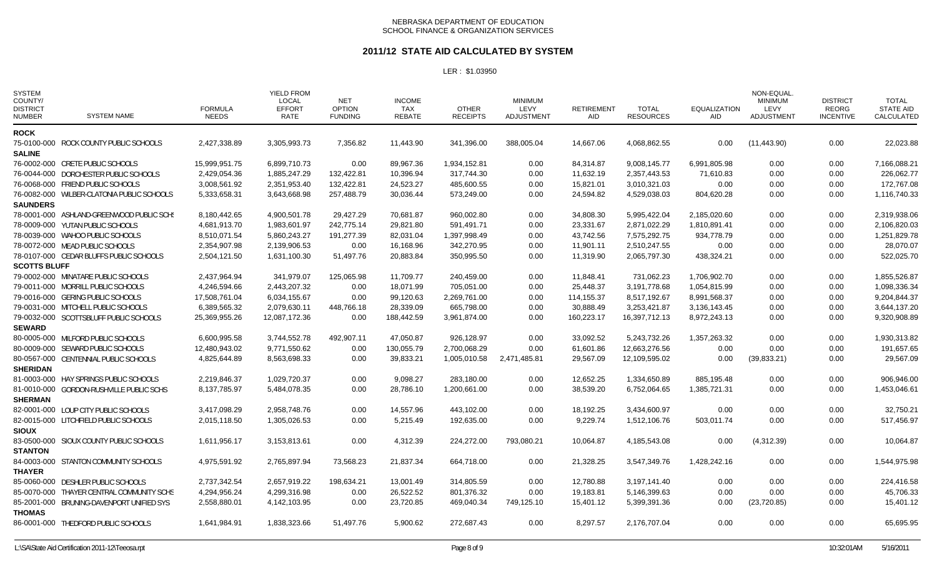#### **2011/12 STATE AID CALCULATED BY SYSTEM**

| <b>SYSTEM</b><br>COUNTY/<br><b>DISTRICT</b><br><b>NUMBER</b> | <b>SYSTEM NAME</b>                         | <b>FORMULA</b><br><b>NEEDS</b> | <b>YIELD FROM</b><br><b>LOCAL</b><br><b>EFFORT</b><br>RATE | <b>NET</b><br><b>OPTION</b><br><b>FUNDING</b> | <b>INCOME</b><br>TAX<br><b>REBATE</b> | <b>OTHER</b><br><b>RECEIPTS</b> | <b>MINIMUM</b><br>LEVY<br><b>ADJUSTMENT</b> | <b>RETIREMENT</b><br>AID | <b>TOTAL</b><br><b>RESOURCES</b> | <b>EQUALIZATION</b><br><b>AID</b> | NON-EQUAL<br><b>MINIMUM</b><br>LEVY<br><b>ADJUSTMENT</b> | <b>DISTRICT</b><br>REORG<br><b>INCENTIVE</b> | <b>TOTAL</b><br><b>STATE AID</b><br>CALCULATED |
|--------------------------------------------------------------|--------------------------------------------|--------------------------------|------------------------------------------------------------|-----------------------------------------------|---------------------------------------|---------------------------------|---------------------------------------------|--------------------------|----------------------------------|-----------------------------------|----------------------------------------------------------|----------------------------------------------|------------------------------------------------|
| <b>ROCK</b>                                                  |                                            |                                |                                                            |                                               |                                       |                                 |                                             |                          |                                  |                                   |                                                          |                                              |                                                |
|                                                              | 75-0100-000 ROCK COUNTY PUBLIC SCHOOLS     | 2,427,338.89                   | 3,305,993.73                                               | 7,356.82                                      | 11,443.90                             | 341,396.00                      | 388,005.04                                  | 14,667.06                | 4,068,862.55                     | 0.00                              | (11, 443.90)                                             | 0.00                                         | 22,023.88                                      |
| <b>SALINE</b>                                                |                                            |                                |                                                            |                                               |                                       |                                 |                                             |                          |                                  |                                   |                                                          |                                              |                                                |
|                                                              | 76-0002-000 CRETE PUBLIC SCHOOLS           | 15,999,951.75                  | 6,899,710.73                                               | 0.00                                          | 89,967.36                             | 1,934,152.81                    | 0.00                                        | 84,314.87                | 9,008,145.77                     | 6,991,805.98                      | 0.00                                                     | 0.00                                         | 7,166,088.21                                   |
|                                                              | 76-0044-000 DORCHESTER PUBLIC SCHOOLS      | 2,429,054.36                   | 1,885,247.29                                               | 132,422.81                                    | 10,396.94                             | 317,744.30                      | 0.00                                        | 11,632.19                | 2,357,443.53                     | 71,610.83                         | 0.00                                                     | 0.00                                         | 226,062.77                                     |
|                                                              | 76-0068-000 FRIEND PUBLIC SCHOOLS          | 3,008,561.92                   | 2,351,953.40                                               | 132,422.81                                    | 24,523.27                             | 485,600.55                      | 0.00                                        | 15,821.01                | 3,010,321.03                     | 0.00                              | 0.00                                                     | 0.00                                         | 172,767.08                                     |
|                                                              | 76-0082-000 WILBER-CLATONIA PUBLIC SCHOOLS | 5,333,658.31                   | 3,643,668.98                                               | 257,488.79                                    | 30,036.44                             | 573,249.00                      | 0.00                                        | 24,594.82                | 4,529,038.03                     | 804,620.28                        | 0.00                                                     | 0.00                                         | 1,116,740.33                                   |
| <b>SAUNDERS</b>                                              |                                            |                                |                                                            |                                               |                                       |                                 |                                             |                          |                                  |                                   |                                                          |                                              |                                                |
|                                                              | 78-0001-000 ASHLAND-GREENWOOD PUBLIC SCHS  | 8,180,442.65                   | 4,900,501.78                                               | 29,427.29                                     | 70,681.87                             | 960,002.80                      | 0.00                                        | 34,808.30                | 5,995,422.04                     | 2,185,020.60                      | 0.00                                                     | 0.00                                         | 2,319,938.06                                   |
|                                                              | 78-0009-000 YUTAN PUBLIC SCHOOLS           | 4,681,913.70                   | 1,983,601.97                                               | 242,775.14                                    | 29,821.80                             | 591,491.71                      | 0.00                                        | 23,331.67                | 2.871.022.29                     | 1,810,891.41                      | 0.00                                                     | 0.00                                         | 2,106,820.03                                   |
|                                                              | 78-0039-000 WAHOO PUBLIC SCHOOLS           | 8,510,071.54                   | 5,860,243.27                                               | 191,277.39                                    | 82,031.04                             | 1,397,998.49                    | 0.00                                        | 43,742.56                | 7,575,292.75                     | 934,778.79                        | 0.00                                                     | 0.00                                         | 1,251,829.78                                   |
|                                                              | 78-0072-000 MEAD PUBLIC SCHOOLS            | 2,354,907.98                   | 2,139,906.53                                               | 0.00                                          | 16,168.96                             | 342,270.95                      | 0.00                                        | 11,901.11                | 2,510,247.55                     | 0.00                              | 0.00                                                     | 0.00                                         | 28,070.07                                      |
|                                                              | 78-0107-000 CEDAR BLUFFS PUBLIC SCHOOLS    | 2,504,121.50                   | 1,631,100.30                                               | 51,497.76                                     | 20,883.84                             | 350,995.50                      | 0.00                                        | 11,319.90                | 2,065,797.30                     | 438,324.21                        | 0.00                                                     | 0.00                                         | 522,025.70                                     |
| <b>SCOTTS BLUFF</b>                                          |                                            |                                |                                                            |                                               |                                       |                                 |                                             |                          |                                  |                                   |                                                          |                                              |                                                |
|                                                              | 79-0002-000 MINATARE PUBLIC SCHOOLS        | 2,437,964.94                   | 341,979.07                                                 | 125,065.98                                    | 11,709.77                             | 240,459.00                      | 0.00                                        | 11,848.41                | 731,062.23                       | 1,706,902.70                      | 0.00                                                     | 0.00                                         | 1,855,526.87                                   |
|                                                              | 79-0011-000 MORRILL PUBLIC SCHOOLS         | 4,246,594.66                   | 2,443,207.32                                               | 0.00                                          | 18,071.99                             | 705,051.00                      | 0.00                                        | 25,448.37                | 3,191,778.68                     | 1,054,815.99                      | 0.00                                                     | 0.00                                         | 1,098,336.34                                   |
|                                                              | 79-0016-000 GERING PUBLIC SCHOOLS          | 17,508,761.04                  | 6,034,155.67                                               | 0.00                                          | 99,120.63                             | 2,269,761.00                    | 0.00                                        | 114,155.37               | 8,517,192.67                     | 8,991,568.37                      | 0.00                                                     | 0.00                                         | 9,204,844.37                                   |
|                                                              | 79-0031-000 MITCHELL PUBLIC SCHOOLS        | 6,389,565.32                   | 2,079,630.11                                               | 448,766.18                                    | 28,339.09                             | 665,798.00                      | 0.00                                        | 30,888.49                | 3,253,421.87                     | 3,136,143.45                      | 0.00                                                     | 0.00                                         | 3,644,137.20                                   |
|                                                              | 79-0032-000 SCOTTSBLUFF PUBLIC SCHOOLS     | 25,369,955.26                  | 12,087,172.36                                              | 0.00                                          | 188,442.59                            | 3,961,874.00                    | 0.00                                        | 160,223.17               | 16,397,712.13                    | 8,972,243.13                      | 0.00                                                     | 0.00                                         | 9,320,908.89                                   |
| <b>SEWARD</b>                                                |                                            |                                |                                                            |                                               |                                       |                                 |                                             |                          |                                  |                                   |                                                          |                                              |                                                |
|                                                              | 80-0005-000 MILFORD PUBLIC SCHOOLS         | 6,600,995.58                   | 3,744,552.78                                               | 492,907.11                                    | 47,050.87                             | 926,128.97                      | 0.00                                        | 33,092.52                | 5,243,732.26                     | 1,357,263.32                      | 0.00                                                     | 0.00                                         | 1,930,313.82                                   |
|                                                              | 80-0009-000 SEWARD PUBLIC SCHOOLS          | 12,480,943.02                  | 9,771,550.62                                               | 0.00                                          | 130.055.79                            | 2.700.068.29                    | 0.00                                        | 61,601.86                | 12.663.276.56                    | 0.00                              | 0.00                                                     | 0.00                                         | 191,657.65                                     |
|                                                              | 80-0567-000 CENTENNIAL PUBLIC SCHOOLS      | 4,825,644.89                   | 8,563,698.33                                               | 0.00                                          | 39,833.21                             | 1,005,010.58                    | 2,471,485.81                                | 29,567.09                | 12,109,595.02                    | 0.00                              | (39, 833.21)                                             | 0.00                                         | 29,567.09                                      |
| <b>SHERIDAN</b>                                              |                                            |                                |                                                            |                                               |                                       |                                 |                                             |                          |                                  |                                   |                                                          |                                              |                                                |
|                                                              | 81-0003-000 HAY SPRINGS PUBLIC SCHOOLS     | 2,219,846.37                   | 1,029,720.37                                               | 0.00                                          | 9.098.27                              | 283.180.00                      | 0.00                                        | 12,652.25                | 1,334,650.89                     | 885,195.48                        | 0.00                                                     | 0.00                                         | 906,946.00                                     |
|                                                              | 81-0010-000 GORDON-RUSHVILLE PUBLIC SCHS   | 8,137,785.97                   | 5,484,078.35                                               | 0.00                                          | 28,786.10                             | 1.200.661.00                    | 0.00                                        | 38,539.20                | 6,752,064.65                     | 1,385,721.31                      | 0.00                                                     | 0.00                                         | 1,453,046.61                                   |
| <b>SHERMAN</b>                                               |                                            |                                |                                                            |                                               |                                       |                                 |                                             |                          |                                  |                                   |                                                          |                                              |                                                |
|                                                              | 82-0001-000 LOUP CITY PUBLIC SCHOOLS       | 3,417,098.29                   | 2,958,748.76                                               | 0.00                                          | 14,557.96                             | 443,102.00                      | 0.00                                        | 18,192.25                | 3,434,600.97                     | 0.00                              | 0.00                                                     | 0.00                                         | 32,750.21                                      |
|                                                              | 82-0015-000 LITCHFIELD PUBLIC SCHOOLS      | 2,015,118.50                   | 1,305,026.53                                               | $0.00\,$                                      | 5,215.49                              | 192,635.00                      | 0.00                                        | 9,229.74                 | 1,512,106.76                     | 503,011.74                        | 0.00                                                     | 0.00                                         | 517,456.97                                     |
| <b>SIOUX</b>                                                 |                                            |                                |                                                            |                                               |                                       |                                 |                                             |                          |                                  |                                   |                                                          |                                              |                                                |
|                                                              | 83-0500-000 SIOUX COUNTY PUBLIC SCHOOLS    | 1,611,956.17                   | 3,153,813.61                                               | 0.00                                          | 4,312.39                              | 224,272.00                      | 793,080.21                                  | 10,064.87                | 4,185,543.08                     | 0.00                              | (4,312.39)                                               | 0.00                                         | 10,064.87                                      |
| <b>STANTON</b>                                               |                                            |                                |                                                            |                                               |                                       |                                 |                                             |                          |                                  |                                   |                                                          |                                              |                                                |
|                                                              | 84-0003-000 STANTON COMMUNITY SCHOOLS      | 4,975,591.92                   | 2,765,897.94                                               | 73,568.23                                     | 21,837.34                             | 664,718.00                      | 0.00                                        | 21,328.25                | 3,547,349.76                     | 1,428,242.16                      | 0.00                                                     | 0.00                                         | 1,544,975.98                                   |
| <b>THAYER</b>                                                |                                            |                                |                                                            |                                               |                                       |                                 |                                             |                          |                                  |                                   |                                                          |                                              |                                                |
|                                                              | 85-0060-000 DESHLER PUBLIC SCHOOLS         | 2,737,342.54                   | 2,657,919.22                                               | 198,634.21                                    | 13.001.49                             | 314,805.59                      | 0.00                                        | 12,780.88                | 3.197.141.40                     | 0.00                              | 0.00                                                     | 0.00                                         | 224,416.58                                     |
|                                                              | 85-0070-000 THAYER CENTRAL COMMUNITY SCHS  | 4,294,956.24                   | 4,299,316.98                                               | 0.00                                          | 26,522.52                             | 801,376.32                      | 0.00                                        | 19,183.81                | 5,146,399.63                     | 0.00                              | 0.00                                                     | 0.00                                         | 45,706.33                                      |
|                                                              | 85-2001-000 BRUNING-DAVENPORT UNIFIED SYS  | 2,558,880.01                   | 4,142,103.95                                               | 0.00                                          | 23,720.85                             | 469,040.34                      | 749,125.10                                  | 15,401.12                | 5,399,391.36                     | 0.00                              | (23, 720.85)                                             | 0.00                                         | 15,401.12                                      |
| <b>THOMAS</b>                                                |                                            |                                |                                                            |                                               |                                       |                                 |                                             |                          |                                  |                                   |                                                          |                                              |                                                |
|                                                              | 86-0001-000 THEDFORD PUBLIC SCHOOLS        | 1,641,984.91                   | 1,838,323.66                                               | 51.497.76                                     | 5.900.62                              | 272.687.43                      | 0.00                                        | 8,297.57                 | 2.176.707.04                     | 0.00                              | 0.00                                                     | 0.00                                         | 65.695.95                                      |
|                                                              |                                            |                                |                                                            |                                               |                                       |                                 |                                             |                          |                                  |                                   |                                                          |                                              |                                                |